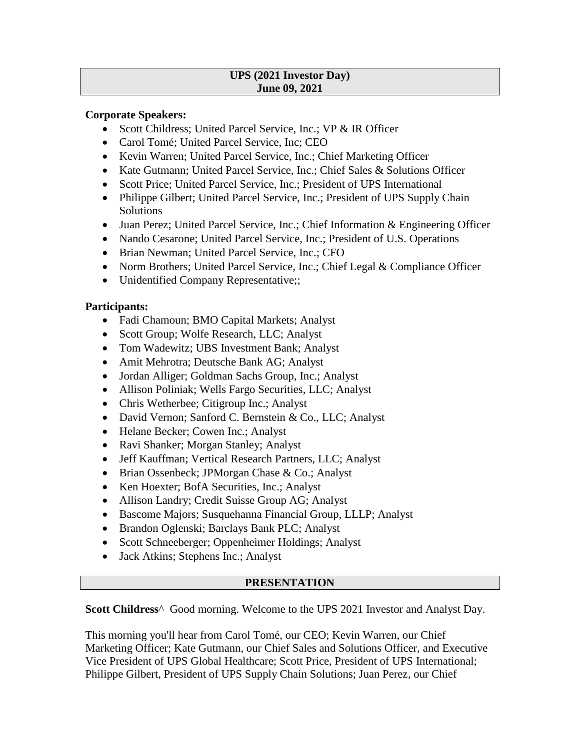#### **UPS (2021 Investor Day) June 09, 2021**

### **Corporate Speakers:**

- Scott Childress; United Parcel Service, Inc.; VP & IR Officer
- Carol Tomé; United Parcel Service, Inc; CEO
- Kevin Warren; United Parcel Service, Inc.; Chief Marketing Officer
- Kate Gutmann; United Parcel Service, Inc.; Chief Sales & Solutions Officer
- Scott Price: United Parcel Service, Inc.: President of UPS International
- Philippe Gilbert; United Parcel Service, Inc.; President of UPS Supply Chain Solutions
- Juan Perez; United Parcel Service, Inc.; Chief Information & Engineering Officer
- Nando Cesarone; United Parcel Service, Inc.; President of U.S. Operations
- Brian Newman; United Parcel Service, Inc.; CFO
- Norm Brothers; United Parcel Service, Inc.; Chief Legal & Compliance Officer
- Unidentified Company Representative;;

# **Participants:**

- Fadi Chamoun; BMO Capital Markets; Analyst
- Scott Group; Wolfe Research, LLC; Analyst
- Tom Wadewitz; UBS Investment Bank; Analyst
- Amit Mehrotra; Deutsche Bank AG; Analyst
- Jordan Alliger; Goldman Sachs Group, Inc.; Analyst
- Allison Poliniak; Wells Fargo Securities, LLC; Analyst
- Chris Wetherbee; Citigroup Inc.; Analyst
- David Vernon; Sanford C. Bernstein & Co., LLC; Analyst
- Helane Becker; Cowen Inc.; Analyst
- Ravi Shanker; Morgan Stanley; Analyst
- Jeff Kauffman; Vertical Research Partners, LLC; Analyst
- Brian Ossenbeck; JPMorgan Chase & Co.; Analyst
- Ken Hoexter; BofA Securities, Inc.; Analyst
- Allison Landry; Credit Suisse Group AG; Analyst
- Bascome Majors; Susquehanna Financial Group, LLLP; Analyst
- Brandon Oglenski; Barclays Bank PLC; Analyst
- Scott Schneeberger; Oppenheimer Holdings; Analyst
- Jack Atkins; Stephens Inc.; Analyst

# **PRESENTATION**

**Scott Childress**^ Good morning. Welcome to the UPS 2021 Investor and Analyst Day.

This morning you'll hear from Carol Tomé, our CEO; Kevin Warren, our Chief Marketing Officer; Kate Gutmann, our Chief Sales and Solutions Officer, and Executive Vice President of UPS Global Healthcare; Scott Price, President of UPS International; Philippe Gilbert, President of UPS Supply Chain Solutions; Juan Perez, our Chief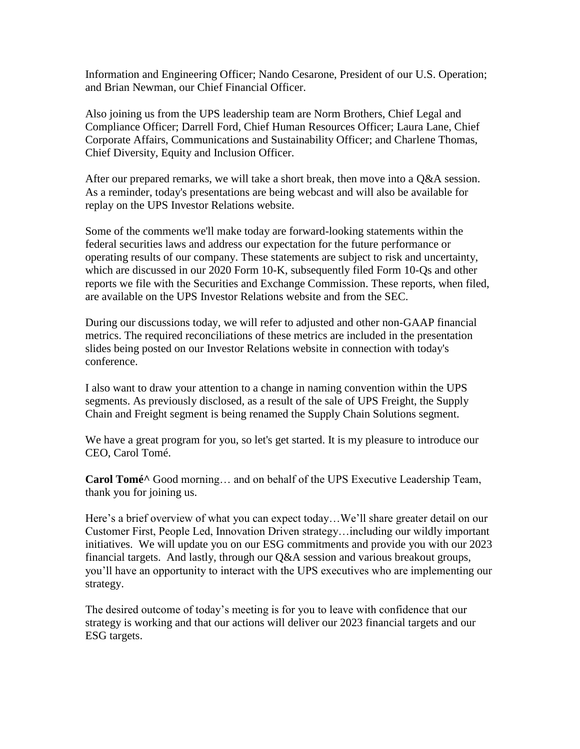Information and Engineering Officer; Nando Cesarone, President of our U.S. Operation; and Brian Newman, our Chief Financial Officer.

Also joining us from the UPS leadership team are Norm Brothers, Chief Legal and Compliance Officer; Darrell Ford, Chief Human Resources Officer; Laura Lane, Chief Corporate Affairs, Communications and Sustainability Officer; and Charlene Thomas, Chief Diversity, Equity and Inclusion Officer.

After our prepared remarks, we will take a short break, then move into a Q&A session. As a reminder, today's presentations are being webcast and will also be available for replay on the UPS Investor Relations website.

Some of the comments we'll make today are forward-looking statements within the federal securities laws and address our expectation for the future performance or operating results of our company. These statements are subject to risk and uncertainty, which are discussed in our 2020 Form 10-K, subsequently filed Form 10-Qs and other reports we file with the Securities and Exchange Commission. These reports, when filed, are available on the UPS Investor Relations website and from the SEC.

During our discussions today, we will refer to adjusted and other non-GAAP financial metrics. The required reconciliations of these metrics are included in the presentation slides being posted on our Investor Relations website in connection with today's conference.

I also want to draw your attention to a change in naming convention within the UPS segments. As previously disclosed, as a result of the sale of UPS Freight, the Supply Chain and Freight segment is being renamed the Supply Chain Solutions segment.

We have a great program for you, so let's get started. It is my pleasure to introduce our CEO, Carol Tomé.

**Carol Tomé^** Good morning… and on behalf of the UPS Executive Leadership Team, thank you for joining us.

Here's a brief overview of what you can expect today…We'll share greater detail on our Customer First, People Led, Innovation Driven strategy…including our wildly important initiatives. We will update you on our ESG commitments and provide you with our 2023 financial targets. And lastly, through our Q&A session and various breakout groups, you'll have an opportunity to interact with the UPS executives who are implementing our strategy.

The desired outcome of today's meeting is for you to leave with confidence that our strategy is working and that our actions will deliver our 2023 financial targets and our ESG targets.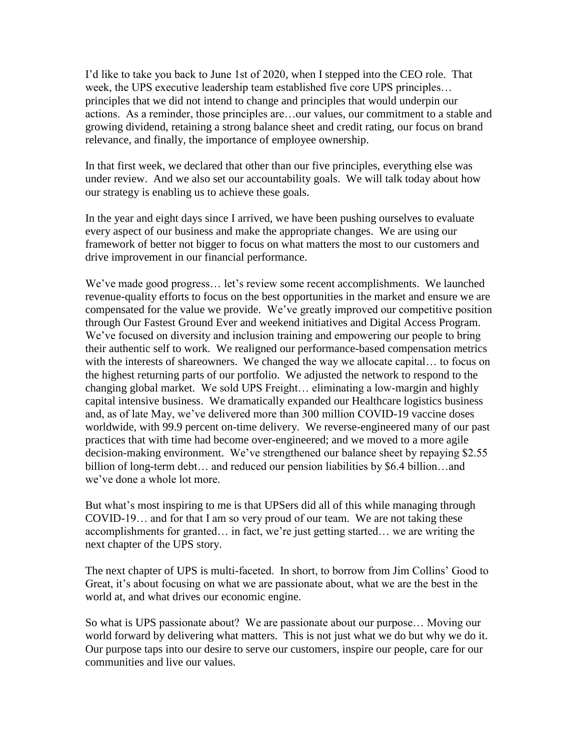I'd like to take you back to June 1st of 2020, when I stepped into the CEO role. That week, the UPS executive leadership team established five core UPS principles… principles that we did not intend to change and principles that would underpin our actions. As a reminder, those principles are…our values, our commitment to a stable and growing dividend, retaining a strong balance sheet and credit rating, our focus on brand relevance, and finally, the importance of employee ownership.

In that first week, we declared that other than our five principles, everything else was under review. And we also set our accountability goals. We will talk today about how our strategy is enabling us to achieve these goals.

In the year and eight days since I arrived, we have been pushing ourselves to evaluate every aspect of our business and make the appropriate changes. We are using our framework of better not bigger to focus on what matters the most to our customers and drive improvement in our financial performance.

We've made good progress… let's review some recent accomplishments. We launched revenue-quality efforts to focus on the best opportunities in the market and ensure we are compensated for the value we provide. We've greatly improved our competitive position through Our Fastest Ground Ever and weekend initiatives and Digital Access Program. We've focused on diversity and inclusion training and empowering our people to bring their authentic self to work. We realigned our performance-based compensation metrics with the interests of shareowners. We changed the way we allocate capital... to focus on the highest returning parts of our portfolio. We adjusted the network to respond to the changing global market. We sold UPS Freight… eliminating a low-margin and highly capital intensive business. We dramatically expanded our Healthcare logistics business and, as of late May, we've delivered more than 300 million COVID-19 vaccine doses worldwide, with 99.9 percent on-time delivery. We reverse-engineered many of our past practices that with time had become over-engineered; and we moved to a more agile decision-making environment. We've strengthened our balance sheet by repaying \$2.55 billion of long-term debt… and reduced our pension liabilities by \$6.4 billion…and we've done a whole lot more.

But what's most inspiring to me is that UPSers did all of this while managing through COVID-19… and for that I am so very proud of our team. We are not taking these accomplishments for granted… in fact, we're just getting started… we are writing the next chapter of the UPS story.

The next chapter of UPS is multi-faceted. In short, to borrow from Jim Collins' Good to Great, it's about focusing on what we are passionate about, what we are the best in the world at, and what drives our economic engine.

So what is UPS passionate about? We are passionate about our purpose… Moving our world forward by delivering what matters. This is not just what we do but why we do it. Our purpose taps into our desire to serve our customers, inspire our people, care for our communities and live our values.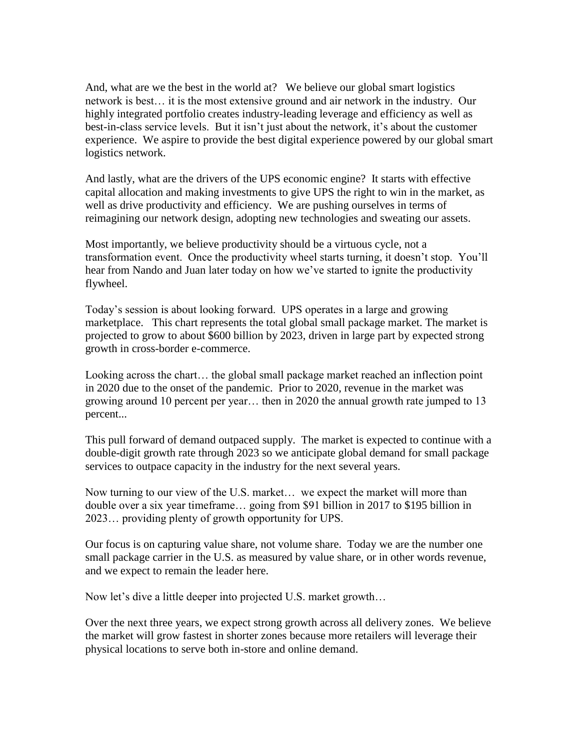And, what are we the best in the world at? We believe our global smart logistics network is best… it is the most extensive ground and air network in the industry. Our highly integrated portfolio creates industry-leading leverage and efficiency as well as best-in-class service levels. But it isn't just about the network, it's about the customer experience. We aspire to provide the best digital experience powered by our global smart logistics network.

And lastly, what are the drivers of the UPS economic engine? It starts with effective capital allocation and making investments to give UPS the right to win in the market, as well as drive productivity and efficiency. We are pushing ourselves in terms of reimagining our network design, adopting new technologies and sweating our assets.

Most importantly, we believe productivity should be a virtuous cycle, not a transformation event. Once the productivity wheel starts turning, it doesn't stop. You'll hear from Nando and Juan later today on how we've started to ignite the productivity flywheel.

Today's session is about looking forward. UPS operates in a large and growing marketplace. This chart represents the total global small package market. The market is projected to grow to about \$600 billion by 2023, driven in large part by expected strong growth in cross-border e-commerce.

Looking across the chart… the global small package market reached an inflection point in 2020 due to the onset of the pandemic. Prior to 2020, revenue in the market was growing around 10 percent per year… then in 2020 the annual growth rate jumped to 13 percent...

This pull forward of demand outpaced supply. The market is expected to continue with a double-digit growth rate through 2023 so we anticipate global demand for small package services to outpace capacity in the industry for the next several years.

Now turning to our view of the U.S. market… we expect the market will more than double over a six year timeframe… going from \$91 billion in 2017 to \$195 billion in 2023… providing plenty of growth opportunity for UPS.

Our focus is on capturing value share, not volume share. Today we are the number one small package carrier in the U.S. as measured by value share, or in other words revenue, and we expect to remain the leader here.

Now let's dive a little deeper into projected U.S. market growth…

Over the next three years, we expect strong growth across all delivery zones. We believe the market will grow fastest in shorter zones because more retailers will leverage their physical locations to serve both in-store and online demand.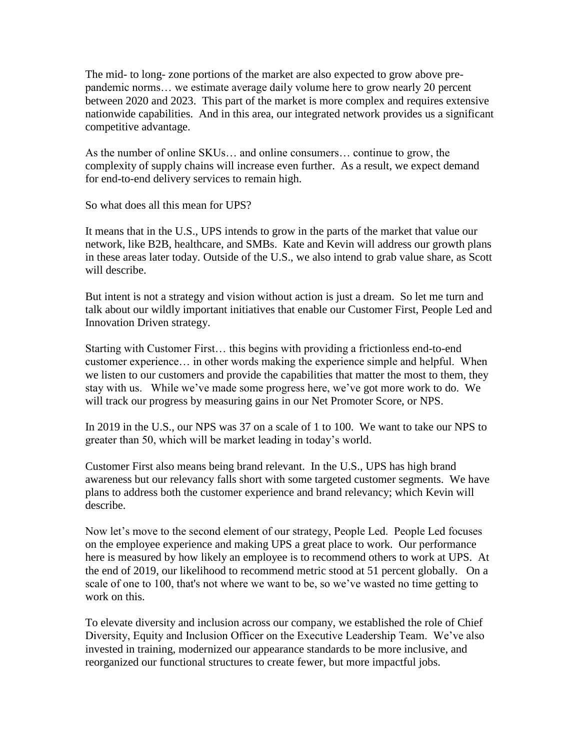The mid- to long- zone portions of the market are also expected to grow above prepandemic norms… we estimate average daily volume here to grow nearly 20 percent between 2020 and 2023. This part of the market is more complex and requires extensive nationwide capabilities. And in this area, our integrated network provides us a significant competitive advantage.

As the number of online SKUs… and online consumers… continue to grow, the complexity of supply chains will increase even further. As a result, we expect demand for end-to-end delivery services to remain high.

So what does all this mean for UPS?

It means that in the U.S., UPS intends to grow in the parts of the market that value our network, like B2B, healthcare, and SMBs. Kate and Kevin will address our growth plans in these areas later today. Outside of the U.S., we also intend to grab value share, as Scott will describe.

But intent is not a strategy and vision without action is just a dream. So let me turn and talk about our wildly important initiatives that enable our Customer First, People Led and Innovation Driven strategy.

Starting with Customer First… this begins with providing a frictionless end-to-end customer experience… in other words making the experience simple and helpful. When we listen to our customers and provide the capabilities that matter the most to them, they stay with us. While we've made some progress here, we've got more work to do. We will track our progress by measuring gains in our Net Promoter Score, or NPS.

In 2019 in the U.S., our NPS was 37 on a scale of 1 to 100. We want to take our NPS to greater than 50, which will be market leading in today's world.

Customer First also means being brand relevant. In the U.S., UPS has high brand awareness but our relevancy falls short with some targeted customer segments. We have plans to address both the customer experience and brand relevancy; which Kevin will describe.

Now let's move to the second element of our strategy, People Led. People Led focuses on the employee experience and making UPS a great place to work. Our performance here is measured by how likely an employee is to recommend others to work at UPS. At the end of 2019, our likelihood to recommend metric stood at 51 percent globally. On a scale of one to 100, that's not where we want to be, so we've wasted no time getting to work on this.

To elevate diversity and inclusion across our company, we established the role of Chief Diversity, Equity and Inclusion Officer on the Executive Leadership Team. We've also invested in training, modernized our appearance standards to be more inclusive, and reorganized our functional structures to create fewer, but more impactful jobs.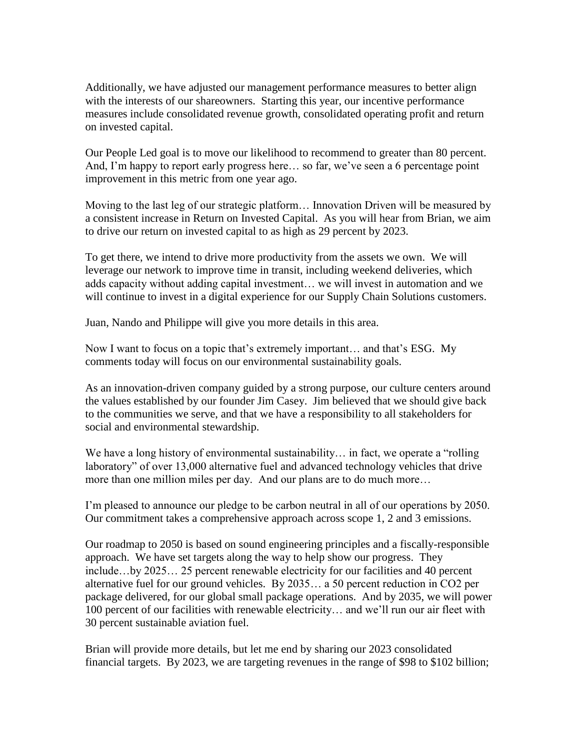Additionally, we have adjusted our management performance measures to better align with the interests of our shareowners. Starting this year, our incentive performance measures include consolidated revenue growth, consolidated operating profit and return on invested capital.

Our People Led goal is to move our likelihood to recommend to greater than 80 percent. And, I'm happy to report early progress here… so far, we've seen a 6 percentage point improvement in this metric from one year ago.

Moving to the last leg of our strategic platform… Innovation Driven will be measured by a consistent increase in Return on Invested Capital. As you will hear from Brian, we aim to drive our return on invested capital to as high as 29 percent by 2023.

To get there, we intend to drive more productivity from the assets we own. We will leverage our network to improve time in transit, including weekend deliveries, which adds capacity without adding capital investment… we will invest in automation and we will continue to invest in a digital experience for our Supply Chain Solutions customers.

Juan, Nando and Philippe will give you more details in this area.

Now I want to focus on a topic that's extremely important… and that's ESG. My comments today will focus on our environmental sustainability goals.

As an innovation-driven company guided by a strong purpose, our culture centers around the values established by our founder Jim Casey. Jim believed that we should give back to the communities we serve, and that we have a responsibility to all stakeholders for social and environmental stewardship.

We have a long history of environmental sustainability... in fact, we operate a "rolling" laboratory" of over 13,000 alternative fuel and advanced technology vehicles that drive more than one million miles per day. And our plans are to do much more…

I'm pleased to announce our pledge to be carbon neutral in all of our operations by 2050. Our commitment takes a comprehensive approach across scope 1, 2 and 3 emissions.

Our roadmap to 2050 is based on sound engineering principles and a fiscally-responsible approach. We have set targets along the way to help show our progress. They include…by 2025… 25 percent renewable electricity for our facilities and 40 percent alternative fuel for our ground vehicles. By 2035… a 50 percent reduction in CO2 per package delivered, for our global small package operations. And by 2035, we will power 100 percent of our facilities with renewable electricity… and we'll run our air fleet with 30 percent sustainable aviation fuel.

Brian will provide more details, but let me end by sharing our 2023 consolidated financial targets. By 2023, we are targeting revenues in the range of \$98 to \$102 billion;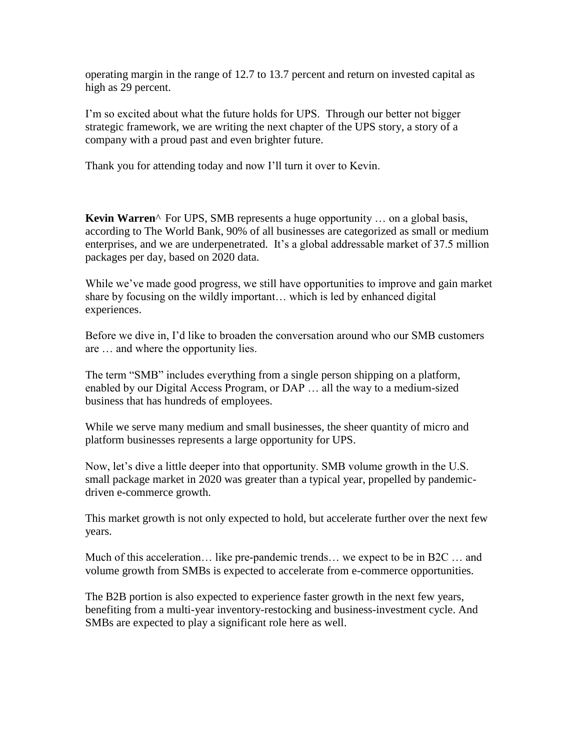operating margin in the range of 12.7 to 13.7 percent and return on invested capital as high as 29 percent.

I'm so excited about what the future holds for UPS. Through our better not bigger strategic framework, we are writing the next chapter of the UPS story, a story of a company with a proud past and even brighter future.

Thank you for attending today and now I'll turn it over to Kevin.

**Kevin Warren**<sup>^</sup> For UPS, SMB represents a huge opportunity ... on a global basis, according to The World Bank, 90% of all businesses are categorized as small or medium enterprises, and we are underpenetrated. It's a global addressable market of 37.5 million packages per day, based on 2020 data.

While we've made good progress, we still have opportunities to improve and gain market share by focusing on the wildly important… which is led by enhanced digital experiences.

Before we dive in, I'd like to broaden the conversation around who our SMB customers are … and where the opportunity lies.

The term "SMB" includes everything from a single person shipping on a platform, enabled by our Digital Access Program, or DAP … all the way to a medium-sized business that has hundreds of employees.

While we serve many medium and small businesses, the sheer quantity of micro and platform businesses represents a large opportunity for UPS.

Now, let's dive a little deeper into that opportunity. SMB volume growth in the U.S. small package market in 2020 was greater than a typical year, propelled by pandemicdriven e-commerce growth.

This market growth is not only expected to hold, but accelerate further over the next few years.

Much of this acceleration… like pre-pandemic trends… we expect to be in B2C … and volume growth from SMBs is expected to accelerate from e-commerce opportunities.

The B2B portion is also expected to experience faster growth in the next few years, benefiting from a multi-year inventory-restocking and business-investment cycle. And SMBs are expected to play a significant role here as well.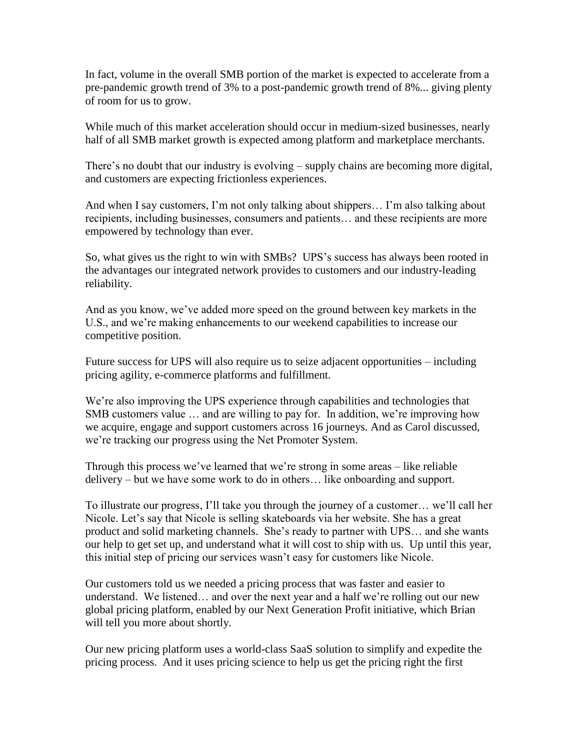In fact, volume in the overall SMB portion of the market is expected to accelerate from a pre-pandemic growth trend of 3% to a post-pandemic growth trend of 8%... giving plenty of room for us to grow.

While much of this market acceleration should occur in medium-sized businesses, nearly half of all SMB market growth is expected among platform and marketplace merchants.

There's no doubt that our industry is evolving – supply chains are becoming more digital, and customers are expecting frictionless experiences.

And when I say customers, I'm not only talking about shippers… I'm also talking about recipients, including businesses, consumers and patients… and these recipients are more empowered by technology than ever.

So, what gives us the right to win with SMBs? UPS's success has always been rooted in the advantages our integrated network provides to customers and our industry-leading reliability.

And as you know, we've added more speed on the ground between key markets in the U.S., and we're making enhancements to our weekend capabilities to increase our competitive position.

Future success for UPS will also require us to seize adjacent opportunities – including pricing agility, e-commerce platforms and fulfillment.

We're also improving the UPS experience through capabilities and technologies that SMB customers value … and are willing to pay for. In addition, we're improving how we acquire, engage and support customers across 16 journeys. And as Carol discussed, we're tracking our progress using the Net Promoter System.

Through this process we've learned that we're strong in some areas – like reliable delivery – but we have some work to do in others… like onboarding and support.

To illustrate our progress, I'll take you through the journey of a customer… we'll call her Nicole. Let's say that Nicole is selling skateboards via her website. She has a great product and solid marketing channels. She's ready to partner with UPS… and she wants our help to get set up, and understand what it will cost to ship with us. Up until this year, this initial step of pricing our services wasn't easy for customers like Nicole.

Our customers told us we needed a pricing process that was faster and easier to understand. We listened… and over the next year and a half we're rolling out our new global pricing platform, enabled by our Next Generation Profit initiative, which Brian will tell you more about shortly.

Our new pricing platform uses a world-class SaaS solution to simplify and expedite the pricing process. And it uses pricing science to help us get the pricing right the first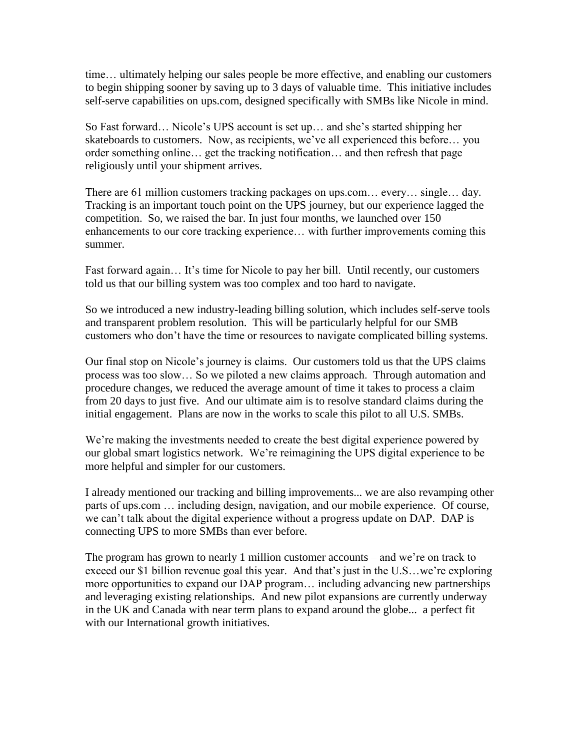time… ultimately helping our sales people be more effective, and enabling our customers to begin shipping sooner by saving up to 3 days of valuable time. This initiative includes self-serve capabilities on ups.com, designed specifically with SMBs like Nicole in mind.

So Fast forward… Nicole's UPS account is set up… and she's started shipping her skateboards to customers. Now, as recipients, we've all experienced this before… you order something online… get the tracking notification… and then refresh that page religiously until your shipment arrives.

There are 61 million customers tracking packages on ups.com… every… single… day. Tracking is an important touch point on the UPS journey, but our experience lagged the competition. So, we raised the bar. In just four months, we launched over 150 enhancements to our core tracking experience… with further improvements coming this summer.

Fast forward again... It's time for Nicole to pay her bill. Until recently, our customers told us that our billing system was too complex and too hard to navigate.

So we introduced a new industry-leading billing solution, which includes self-serve tools and transparent problem resolution. This will be particularly helpful for our SMB customers who don't have the time or resources to navigate complicated billing systems.

Our final stop on Nicole's journey is claims. Our customers told us that the UPS claims process was too slow… So we piloted a new claims approach. Through automation and procedure changes, we reduced the average amount of time it takes to process a claim from 20 days to just five. And our ultimate aim is to resolve standard claims during the initial engagement. Plans are now in the works to scale this pilot to all U.S. SMBs.

We're making the investments needed to create the best digital experience powered by our global smart logistics network. We're reimagining the UPS digital experience to be more helpful and simpler for our customers.

I already mentioned our tracking and billing improvements... we are also revamping other parts of ups.com … including design, navigation, and our mobile experience. Of course, we can't talk about the digital experience without a progress update on DAP. DAP is connecting UPS to more SMBs than ever before.

The program has grown to nearly 1 million customer accounts – and we're on track to exceed our \$1 billion revenue goal this year. And that's just in the U.S…we're exploring more opportunities to expand our DAP program… including advancing new partnerships and leveraging existing relationships. And new pilot expansions are currently underway in the UK and Canada with near term plans to expand around the globe... a perfect fit with our International growth initiatives.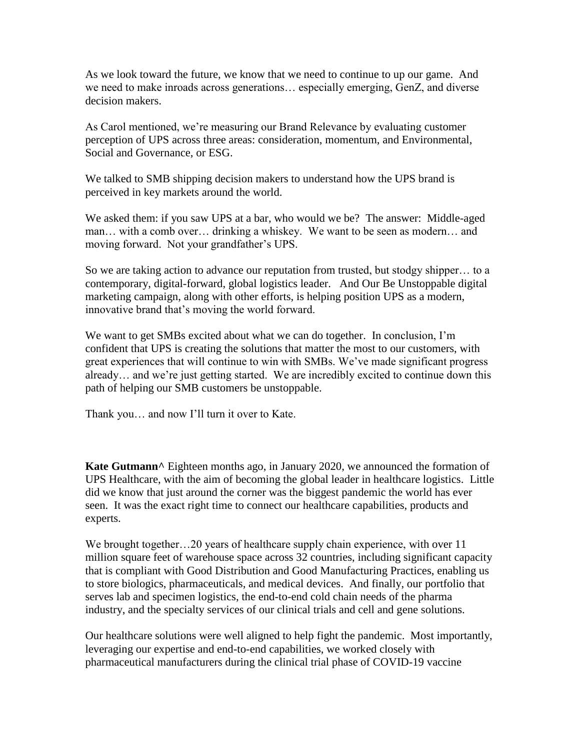As we look toward the future, we know that we need to continue to up our game. And we need to make inroads across generations… especially emerging, GenZ, and diverse decision makers.

As Carol mentioned, we're measuring our Brand Relevance by evaluating customer perception of UPS across three areas: consideration, momentum, and Environmental, Social and Governance, or ESG.

We talked to SMB shipping decision makers to understand how the UPS brand is perceived in key markets around the world.

We asked them: if you saw UPS at a bar, who would we be? The answer: Middle-aged man… with a comb over… drinking a whiskey. We want to be seen as modern… and moving forward. Not your grandfather's UPS.

So we are taking action to advance our reputation from trusted, but stodgy shipper… to a contemporary, digital-forward, global logistics leader. And Our Be Unstoppable digital marketing campaign, along with other efforts, is helping position UPS as a modern, innovative brand that's moving the world forward.

We want to get SMBs excited about what we can do together. In conclusion, I'm confident that UPS is creating the solutions that matter the most to our customers, with great experiences that will continue to win with SMBs. We've made significant progress already… and we're just getting started. We are incredibly excited to continue down this path of helping our SMB customers be unstoppable.

Thank you… and now I'll turn it over to Kate.

**Kate Gutmann<sup>^</sup>** Eighteen months ago, in January 2020, we announced the formation of UPS Healthcare, with the aim of becoming the global leader in healthcare logistics. Little did we know that just around the corner was the biggest pandemic the world has ever seen. It was the exact right time to connect our healthcare capabilities, products and experts.

We brought together...20 years of healthcare supply chain experience, with over 11 million square feet of warehouse space across 32 countries, including significant capacity that is compliant with Good Distribution and Good Manufacturing Practices, enabling us to store biologics, pharmaceuticals, and medical devices. And finally, our portfolio that serves lab and specimen logistics, the end-to-end cold chain needs of the pharma industry, and the specialty services of our clinical trials and cell and gene solutions.

Our healthcare solutions were well aligned to help fight the pandemic. Most importantly, leveraging our expertise and end-to-end capabilities, we worked closely with pharmaceutical manufacturers during the clinical trial phase of COVID-19 vaccine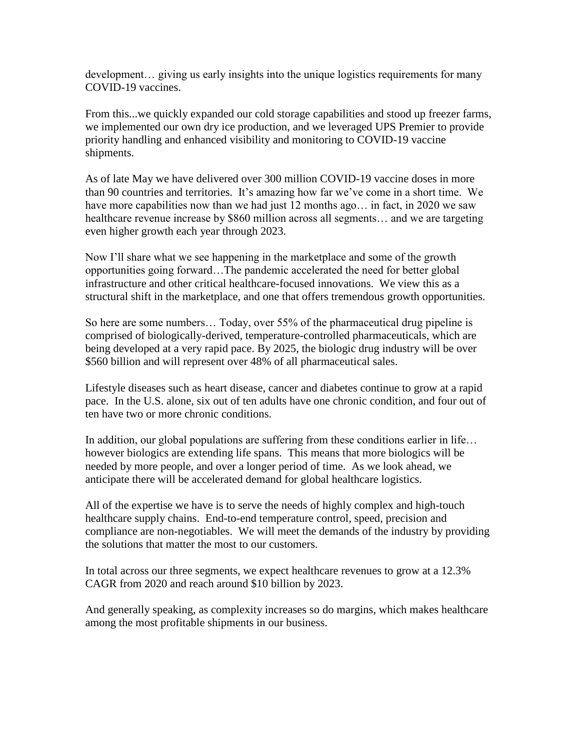development… giving us early insights into the unique logistics requirements for many COVID-19 vaccines.

From this...we quickly expanded our cold storage capabilities and stood up freezer farms, we implemented our own dry ice production, and we leveraged UPS Premier to provide priority handling and enhanced visibility and monitoring to COVID-19 vaccine shipments.

As of late May we have delivered over 300 million COVID-19 vaccine doses in more than 90 countries and territories. It's amazing how far we've come in a short time. We have more capabilities now than we had just 12 months ago... in fact, in 2020 we saw healthcare revenue increase by \$860 million across all segments… and we are targeting even higher growth each year through 2023.

Now I'll share what we see happening in the marketplace and some of the growth opportunities going forward…The pandemic accelerated the need for better global infrastructure and other critical healthcare-focused innovations. We view this as a structural shift in the marketplace, and one that offers tremendous growth opportunities.

So here are some numbers… Today, over 55% of the pharmaceutical drug pipeline is comprised of biologically-derived, temperature-controlled pharmaceuticals, which are being developed at a very rapid pace. By 2025, the biologic drug industry will be over \$560 billion and will represent over 48% of all pharmaceutical sales.

Lifestyle diseases such as heart disease, cancer and diabetes continue to grow at a rapid pace. In the U.S. alone, six out of ten adults have one chronic condition, and four out of ten have two or more chronic conditions.

In addition, our global populations are suffering from these conditions earlier in life… however biologics are extending life spans. This means that more biologics will be needed by more people, and over a longer period of time. As we look ahead, we anticipate there will be accelerated demand for global healthcare logistics.

All of the expertise we have is to serve the needs of highly complex and high-touch healthcare supply chains. End-to-end temperature control, speed, precision and compliance are non-negotiables. We will meet the demands of the industry by providing the solutions that matter the most to our customers.

In total across our three segments, we expect healthcare revenues to grow at a 12.3% CAGR from 2020 and reach around \$10 billion by 2023.

And generally speaking, as complexity increases so do margins, which makes healthcare among the most profitable shipments in our business.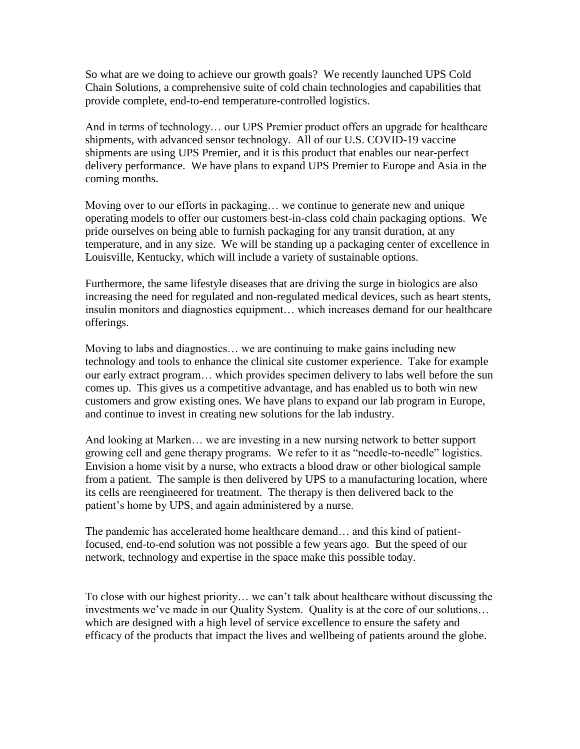So what are we doing to achieve our growth goals? We recently launched UPS Cold Chain Solutions, a comprehensive suite of cold chain technologies and capabilities that provide complete, end-to-end temperature-controlled logistics.

And in terms of technology… our UPS Premier product offers an upgrade for healthcare shipments, with advanced sensor technology. All of our U.S. COVID-19 vaccine shipments are using UPS Premier, and it is this product that enables our near-perfect delivery performance. We have plans to expand UPS Premier to Europe and Asia in the coming months.

Moving over to our efforts in packaging… we continue to generate new and unique operating models to offer our customers best-in-class cold chain packaging options. We pride ourselves on being able to furnish packaging for any transit duration, at any temperature, and in any size. We will be standing up a packaging center of excellence in Louisville, Kentucky, which will include a variety of sustainable options.

Furthermore, the same lifestyle diseases that are driving the surge in biologics are also increasing the need for regulated and non-regulated medical devices, such as heart stents, insulin monitors and diagnostics equipment… which increases demand for our healthcare offerings.

Moving to labs and diagnostics… we are continuing to make gains including new technology and tools to enhance the clinical site customer experience. Take for example our early extract program… which provides specimen delivery to labs well before the sun comes up. This gives us a competitive advantage, and has enabled us to both win new customers and grow existing ones. We have plans to expand our lab program in Europe, and continue to invest in creating new solutions for the lab industry.

And looking at Marken… we are investing in a new nursing network to better support growing cell and gene therapy programs. We refer to it as "needle-to-needle" logistics. Envision a home visit by a nurse, who extracts a blood draw or other biological sample from a patient. The sample is then delivered by UPS to a manufacturing location, where its cells are reengineered for treatment. The therapy is then delivered back to the patient's home by UPS, and again administered by a nurse.

The pandemic has accelerated home healthcare demand… and this kind of patientfocused, end-to-end solution was not possible a few years ago. But the speed of our network, technology and expertise in the space make this possible today.

To close with our highest priority… we can't talk about healthcare without discussing the investments we've made in our Quality System. Quality is at the core of our solutions… which are designed with a high level of service excellence to ensure the safety and efficacy of the products that impact the lives and wellbeing of patients around the globe.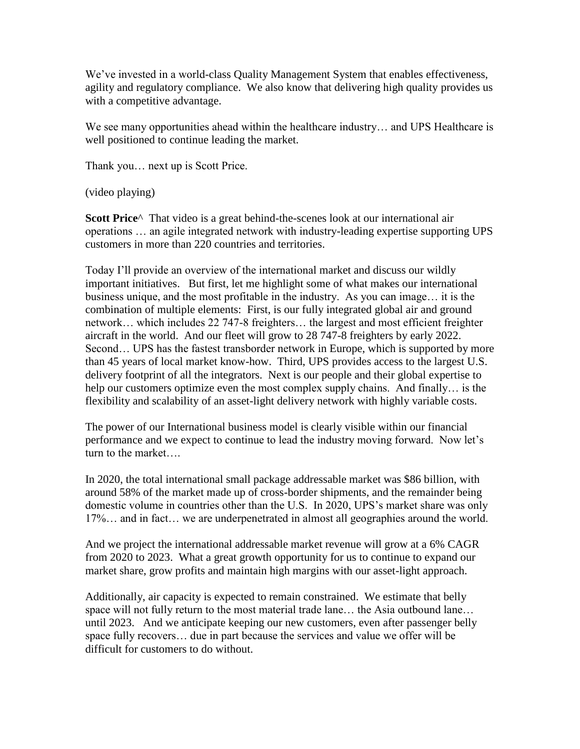We've invested in a world-class Quality Management System that enables effectiveness, agility and regulatory compliance. We also know that delivering high quality provides us with a competitive advantage.

We see many opportunities ahead within the healthcare industry... and UPS Healthcare is well positioned to continue leading the market.

Thank you… next up is Scott Price.

(video playing)

**Scott Price**^ That video is a great behind-the-scenes look at our international air operations … an agile integrated network with industry-leading expertise supporting UPS customers in more than 220 countries and territories.

Today I'll provide an overview of the international market and discuss our wildly important initiatives. But first, let me highlight some of what makes our international business unique, and the most profitable in the industry. As you can image… it is the combination of multiple elements: First, is our fully integrated global air and ground network… which includes 22 747-8 freighters… the largest and most efficient freighter aircraft in the world. And our fleet will grow to 28 747-8 freighters by early 2022. Second... UPS has the fastest transborder network in Europe, which is supported by more than 45 years of local market know-how. Third, UPS provides access to the largest U.S. delivery footprint of all the integrators. Next is our people and their global expertise to help our customers optimize even the most complex supply chains. And finally… is the flexibility and scalability of an asset-light delivery network with highly variable costs.

The power of our International business model is clearly visible within our financial performance and we expect to continue to lead the industry moving forward. Now let's turn to the market….

In 2020, the total international small package addressable market was \$86 billion, with around 58% of the market made up of cross-border shipments, and the remainder being domestic volume in countries other than the U.S. In 2020, UPS's market share was only 17%… and in fact… we are underpenetrated in almost all geographies around the world.

And we project the international addressable market revenue will grow at a 6% CAGR from 2020 to 2023. What a great growth opportunity for us to continue to expand our market share, grow profits and maintain high margins with our asset-light approach.

Additionally, air capacity is expected to remain constrained. We estimate that belly space will not fully return to the most material trade lane... the Asia outbound lane... until 2023. And we anticipate keeping our new customers, even after passenger belly space fully recovers… due in part because the services and value we offer will be difficult for customers to do without.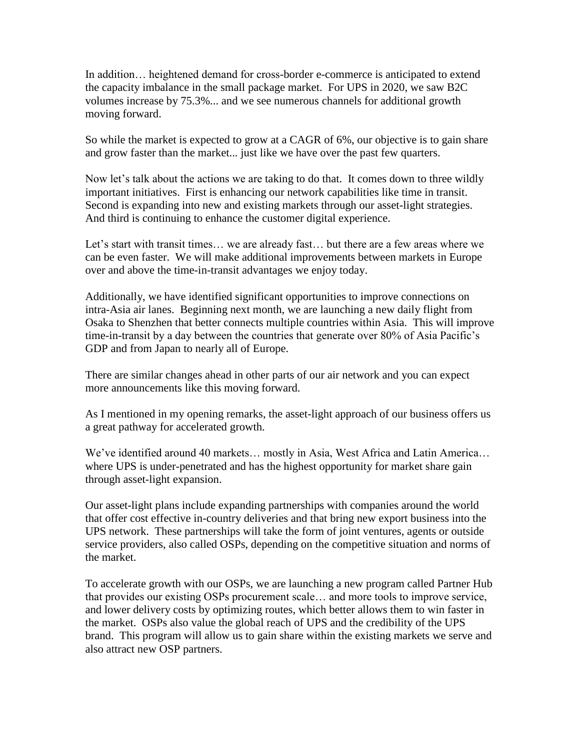In addition… heightened demand for cross-border e-commerce is anticipated to extend the capacity imbalance in the small package market. For UPS in 2020, we saw B2C volumes increase by 75.3%... and we see numerous channels for additional growth moving forward.

So while the market is expected to grow at a CAGR of 6%, our objective is to gain share and grow faster than the market... just like we have over the past few quarters.

Now let's talk about the actions we are taking to do that. It comes down to three wildly important initiatives. First is enhancing our network capabilities like time in transit. Second is expanding into new and existing markets through our asset-light strategies. And third is continuing to enhance the customer digital experience.

Let's start with transit times… we are already fast… but there are a few areas where we can be even faster. We will make additional improvements between markets in Europe over and above the time-in-transit advantages we enjoy today.

Additionally, we have identified significant opportunities to improve connections on intra-Asia air lanes. Beginning next month, we are launching a new daily flight from Osaka to Shenzhen that better connects multiple countries within Asia. This will improve time-in-transit by a day between the countries that generate over 80% of Asia Pacific's GDP and from Japan to nearly all of Europe.

There are similar changes ahead in other parts of our air network and you can expect more announcements like this moving forward.

As I mentioned in my opening remarks, the asset-light approach of our business offers us a great pathway for accelerated growth.

We've identified around 40 markets… mostly in Asia, West Africa and Latin America… where UPS is under-penetrated and has the highest opportunity for market share gain through asset-light expansion.

Our asset-light plans include expanding partnerships with companies around the world that offer cost effective in-country deliveries and that bring new export business into the UPS network. These partnerships will take the form of joint ventures, agents or outside service providers, also called OSPs, depending on the competitive situation and norms of the market.

To accelerate growth with our OSPs, we are launching a new program called Partner Hub that provides our existing OSPs procurement scale… and more tools to improve service, and lower delivery costs by optimizing routes, which better allows them to win faster in the market. OSPs also value the global reach of UPS and the credibility of the UPS brand. This program will allow us to gain share within the existing markets we serve and also attract new OSP partners.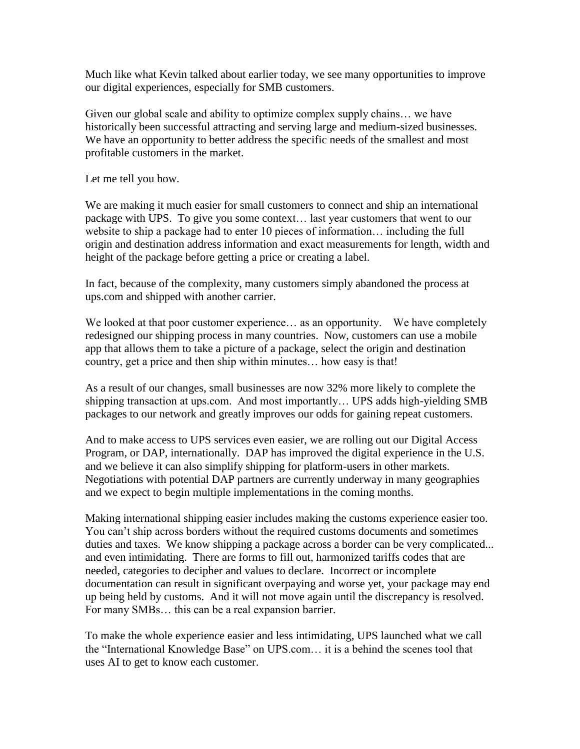Much like what Kevin talked about earlier today, we see many opportunities to improve our digital experiences, especially for SMB customers.

Given our global scale and ability to optimize complex supply chains… we have historically been successful attracting and serving large and medium-sized businesses. We have an opportunity to better address the specific needs of the smallest and most profitable customers in the market.

Let me tell you how.

We are making it much easier for small customers to connect and ship an international package with UPS. To give you some context… last year customers that went to our website to ship a package had to enter 10 pieces of information… including the full origin and destination address information and exact measurements for length, width and height of the package before getting a price or creating a label.

In fact, because of the complexity, many customers simply abandoned the process at ups.com and shipped with another carrier.

We looked at that poor customer experience... as an opportunity. We have completely redesigned our shipping process in many countries. Now, customers can use a mobile app that allows them to take a picture of a package, select the origin and destination country, get a price and then ship within minutes… how easy is that!

As a result of our changes, small businesses are now 32% more likely to complete the shipping transaction at ups.com. And most importantly… UPS adds high-yielding SMB packages to our network and greatly improves our odds for gaining repeat customers.

And to make access to UPS services even easier, we are rolling out our Digital Access Program, or DAP, internationally. DAP has improved the digital experience in the U.S. and we believe it can also simplify shipping for platform-users in other markets. Negotiations with potential DAP partners are currently underway in many geographies and we expect to begin multiple implementations in the coming months.

Making international shipping easier includes making the customs experience easier too. You can't ship across borders without the required customs documents and sometimes duties and taxes. We know shipping a package across a border can be very complicated... and even intimidating. There are forms to fill out, harmonized tariffs codes that are needed, categories to decipher and values to declare. Incorrect or incomplete documentation can result in significant overpaying and worse yet, your package may end up being held by customs. And it will not move again until the discrepancy is resolved. For many SMBs… this can be a real expansion barrier.

To make the whole experience easier and less intimidating, UPS launched what we call the "International Knowledge Base" on UPS.com… it is a behind the scenes tool that uses AI to get to know each customer.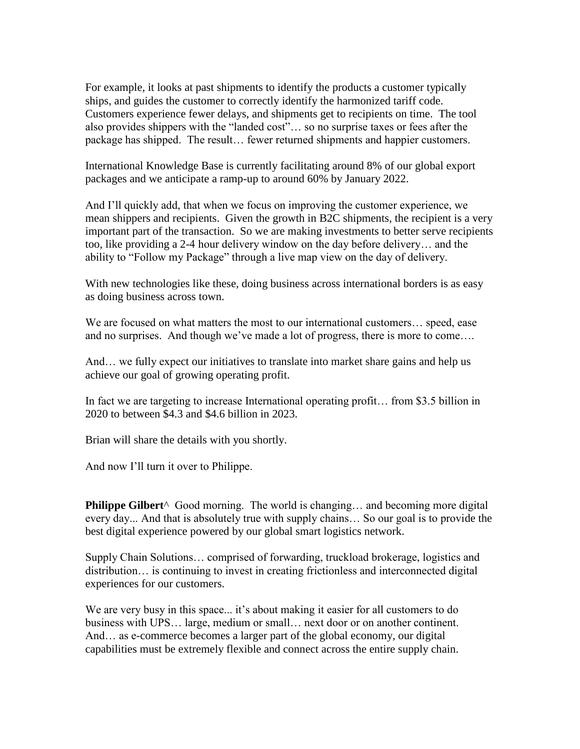For example, it looks at past shipments to identify the products a customer typically ships, and guides the customer to correctly identify the harmonized tariff code. Customers experience fewer delays, and shipments get to recipients on time. The tool also provides shippers with the "landed cost"… so no surprise taxes or fees after the package has shipped. The result… fewer returned shipments and happier customers.

International Knowledge Base is currently facilitating around 8% of our global export packages and we anticipate a ramp-up to around 60% by January 2022.

And I'll quickly add, that when we focus on improving the customer experience, we mean shippers and recipients. Given the growth in B2C shipments, the recipient is a very important part of the transaction. So we are making investments to better serve recipients too, like providing a 2-4 hour delivery window on the day before delivery… and the ability to "Follow my Package" through a live map view on the day of delivery.

With new technologies like these, doing business across international borders is as easy as doing business across town.

We are focused on what matters the most to our international customers… speed, ease and no surprises. And though we've made a lot of progress, there is more to come….

And… we fully expect our initiatives to translate into market share gains and help us achieve our goal of growing operating profit.

In fact we are targeting to increase International operating profit… from \$3.5 billion in 2020 to between \$4.3 and \$4.6 billion in 2023.

Brian will share the details with you shortly.

And now I'll turn it over to Philippe.

**Philippe Gilbert**<sup>^</sup> Good morning. The world is changing... and becoming more digital every day... And that is absolutely true with supply chains… So our goal is to provide the best digital experience powered by our global smart logistics network.

Supply Chain Solutions… comprised of forwarding, truckload brokerage, logistics and distribution… is continuing to invest in creating frictionless and interconnected digital experiences for our customers.

We are very busy in this space... it's about making it easier for all customers to do business with UPS… large, medium or small… next door or on another continent. And… as e-commerce becomes a larger part of the global economy, our digital capabilities must be extremely flexible and connect across the entire supply chain.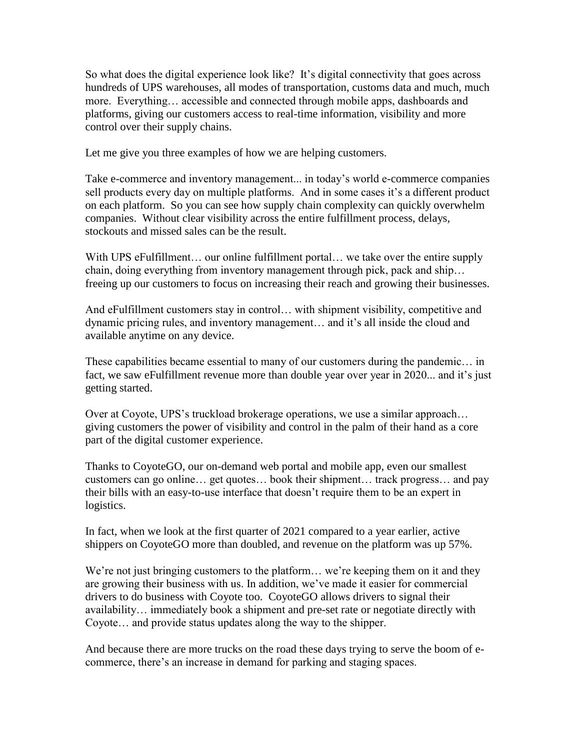So what does the digital experience look like? It's digital connectivity that goes across hundreds of UPS warehouses, all modes of transportation, customs data and much, much more. Everything… accessible and connected through mobile apps, dashboards and platforms, giving our customers access to real-time information, visibility and more control over their supply chains.

Let me give you three examples of how we are helping customers.

Take e-commerce and inventory management... in today's world e-commerce companies sell products every day on multiple platforms. And in some cases it's a different product on each platform. So you can see how supply chain complexity can quickly overwhelm companies. Without clear visibility across the entire fulfillment process, delays, stockouts and missed sales can be the result.

With UPS eFulfillment... our online fulfillment portal... we take over the entire supply chain, doing everything from inventory management through pick, pack and ship… freeing up our customers to focus on increasing their reach and growing their businesses.

And eFulfillment customers stay in control… with shipment visibility, competitive and dynamic pricing rules, and inventory management… and it's all inside the cloud and available anytime on any device.

These capabilities became essential to many of our customers during the pandemic… in fact, we saw eFulfillment revenue more than double year over year in 2020... and it's just getting started.

Over at Coyote, UPS's truckload brokerage operations, we use a similar approach… giving customers the power of visibility and control in the palm of their hand as a core part of the digital customer experience.

Thanks to CoyoteGO, our on-demand web portal and mobile app, even our smallest customers can go online… get quotes… book their shipment… track progress… and pay their bills with an easy-to-use interface that doesn't require them to be an expert in logistics.

In fact, when we look at the first quarter of 2021 compared to a year earlier, active shippers on CoyoteGO more than doubled, and revenue on the platform was up 57%.

We're not just bringing customers to the platform... we're keeping them on it and they are growing their business with us. In addition, we've made it easier for commercial drivers to do business with Coyote too. CoyoteGO allows drivers to signal their availability… immediately book a shipment and pre-set rate or negotiate directly with Coyote… and provide status updates along the way to the shipper.

And because there are more trucks on the road these days trying to serve the boom of ecommerce, there's an increase in demand for parking and staging spaces.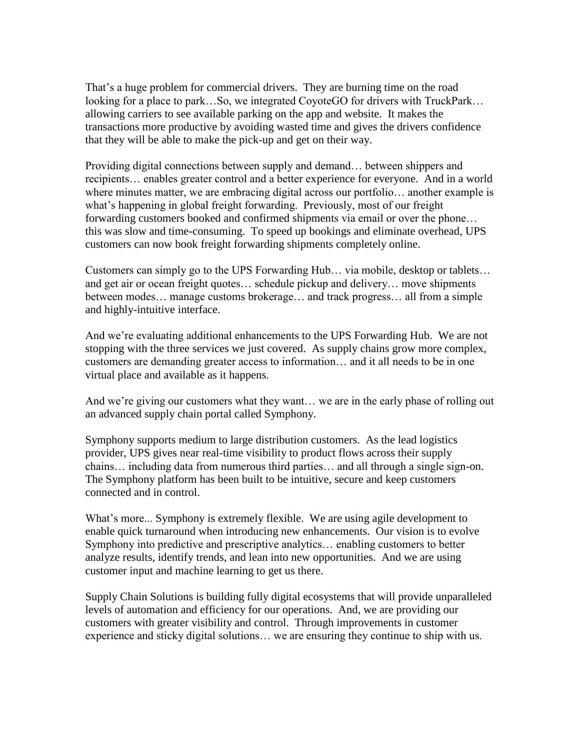That's a huge problem for commercial drivers. They are burning time on the road looking for a place to park…So, we integrated CoyoteGO for drivers with TruckPark… allowing carriers to see available parking on the app and website. It makes the transactions more productive by avoiding wasted time and gives the drivers confidence that they will be able to make the pick-up and get on their way.

Providing digital connections between supply and demand… between shippers and recipients… enables greater control and a better experience for everyone. And in a world where minutes matter, we are embracing digital across our portfolio... another example is what's happening in global freight forwarding. Previously, most of our freight forwarding customers booked and confirmed shipments via email or over the phone… this was slow and time-consuming. To speed up bookings and eliminate overhead, UPS customers can now book freight forwarding shipments completely online.

Customers can simply go to the UPS Forwarding Hub… via mobile, desktop or tablets… and get air or ocean freight quotes… schedule pickup and delivery… move shipments between modes… manage customs brokerage… and track progress… all from a simple and highly-intuitive interface.

And we're evaluating additional enhancements to the UPS Forwarding Hub. We are not stopping with the three services we just covered. As supply chains grow more complex, customers are demanding greater access to information… and it all needs to be in one virtual place and available as it happens.

And we're giving our customers what they want… we are in the early phase of rolling out an advanced supply chain portal called Symphony.

Symphony supports medium to large distribution customers. As the lead logistics provider, UPS gives near real-time visibility to product flows across their supply chains… including data from numerous third parties… and all through a single sign-on. The Symphony platform has been built to be intuitive, secure and keep customers connected and in control.

What's more... Symphony is extremely flexible. We are using agile development to enable quick turnaround when introducing new enhancements. Our vision is to evolve Symphony into predictive and prescriptive analytics… enabling customers to better analyze results, identify trends, and lean into new opportunities. And we are using customer input and machine learning to get us there.

Supply Chain Solutions is building fully digital ecosystems that will provide unparalleled levels of automation and efficiency for our operations. And, we are providing our customers with greater visibility and control. Through improvements in customer experience and sticky digital solutions… we are ensuring they continue to ship with us.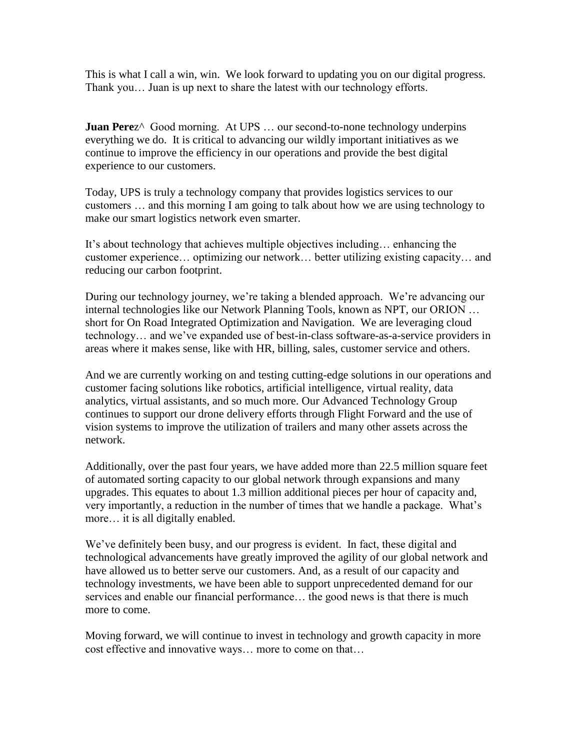This is what I call a win, win. We look forward to updating you on our digital progress. Thank you… Juan is up next to share the latest with our technology efforts.

**Juan Perez**<sup> $\wedge$ </sup> Good morning. At UPS ... our second-to-none technology underpins everything we do. It is critical to advancing our wildly important initiatives as we continue to improve the efficiency in our operations and provide the best digital experience to our customers.

Today, UPS is truly a technology company that provides logistics services to our customers … and this morning I am going to talk about how we are using technology to make our smart logistics network even smarter.

It's about technology that achieves multiple objectives including… enhancing the customer experience… optimizing our network… better utilizing existing capacity… and reducing our carbon footprint.

During our technology journey, we're taking a blended approach. We're advancing our internal technologies like our Network Planning Tools, known as NPT, our ORION … short for On Road Integrated Optimization and Navigation. We are leveraging cloud technology… and we've expanded use of best-in-class software-as-a-service providers in areas where it makes sense, like with HR, billing, sales, customer service and others.

And we are currently working on and testing cutting-edge solutions in our operations and customer facing solutions like robotics, artificial intelligence, virtual reality, data analytics, virtual assistants, and so much more. Our Advanced Technology Group continues to support our drone delivery efforts through Flight Forward and the use of vision systems to improve the utilization of trailers and many other assets across the network.

Additionally, over the past four years, we have added more than 22.5 million square feet of automated sorting capacity to our global network through expansions and many upgrades. This equates to about 1.3 million additional pieces per hour of capacity and, very importantly, a reduction in the number of times that we handle a package. What's more… it is all digitally enabled.

We've definitely been busy, and our progress is evident. In fact, these digital and technological advancements have greatly improved the agility of our global network and have allowed us to better serve our customers. And, as a result of our capacity and technology investments, we have been able to support unprecedented demand for our services and enable our financial performance… the good news is that there is much more to come.

Moving forward, we will continue to invest in technology and growth capacity in more cost effective and innovative ways… more to come on that…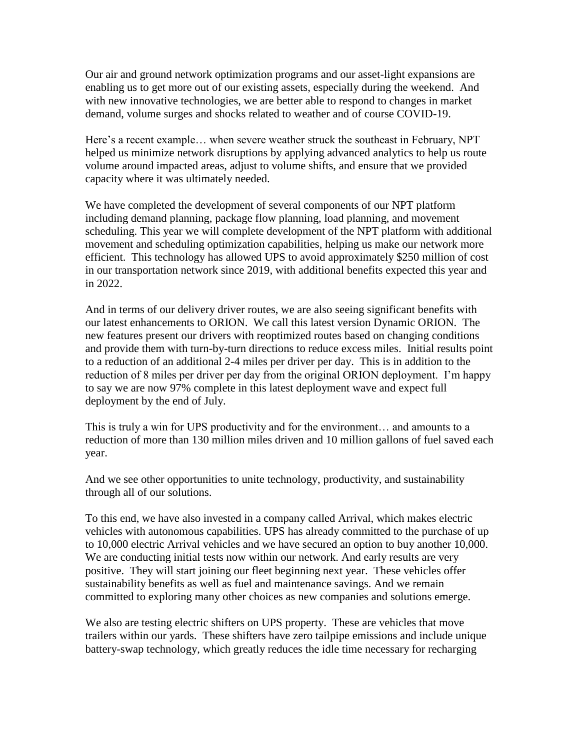Our air and ground network optimization programs and our asset-light expansions are enabling us to get more out of our existing assets, especially during the weekend. And with new innovative technologies, we are better able to respond to changes in market demand, volume surges and shocks related to weather and of course COVID-19.

Here's a recent example… when severe weather struck the southeast in February, NPT helped us minimize network disruptions by applying advanced analytics to help us route volume around impacted areas, adjust to volume shifts, and ensure that we provided capacity where it was ultimately needed.

We have completed the development of several components of our NPT platform including demand planning, package flow planning, load planning, and movement scheduling. This year we will complete development of the NPT platform with additional movement and scheduling optimization capabilities, helping us make our network more efficient. This technology has allowed UPS to avoid approximately \$250 million of cost in our transportation network since 2019, with additional benefits expected this year and in 2022.

And in terms of our delivery driver routes, we are also seeing significant benefits with our latest enhancements to ORION. We call this latest version Dynamic ORION. The new features present our drivers with reoptimized routes based on changing conditions and provide them with turn-by-turn directions to reduce excess miles. Initial results point to a reduction of an additional 2-4 miles per driver per day. This is in addition to the reduction of 8 miles per driver per day from the original ORION deployment. I'm happy to say we are now 97% complete in this latest deployment wave and expect full deployment by the end of July.

This is truly a win for UPS productivity and for the environment… and amounts to a reduction of more than 130 million miles driven and 10 million gallons of fuel saved each year.

And we see other opportunities to unite technology, productivity, and sustainability through all of our solutions.

To this end, we have also invested in a company called Arrival, which makes electric vehicles with autonomous capabilities. UPS has already committed to the purchase of up to 10,000 electric Arrival vehicles and we have secured an option to buy another 10,000. We are conducting initial tests now within our network. And early results are very positive. They will start joining our fleet beginning next year. These vehicles offer sustainability benefits as well as fuel and maintenance savings. And we remain committed to exploring many other choices as new companies and solutions emerge.

We also are testing electric shifters on UPS property. These are vehicles that move trailers within our yards. These shifters have zero tailpipe emissions and include unique battery-swap technology, which greatly reduces the idle time necessary for recharging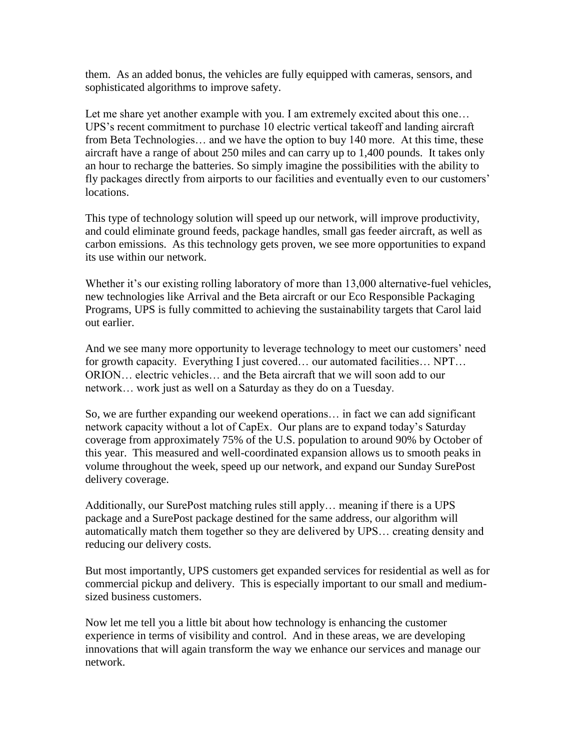them. As an added bonus, the vehicles are fully equipped with cameras, sensors, and sophisticated algorithms to improve safety.

Let me share yet another example with you. I am extremely excited about this one... UPS's recent commitment to purchase 10 electric vertical takeoff and landing aircraft from Beta Technologies… and we have the option to buy 140 more. At this time, these aircraft have a range of about 250 miles and can carry up to 1,400 pounds. It takes only an hour to recharge the batteries. So simply imagine the possibilities with the ability to fly packages directly from airports to our facilities and eventually even to our customers' locations.

This type of technology solution will speed up our network, will improve productivity, and could eliminate ground feeds, package handles, small gas feeder aircraft, as well as carbon emissions. As this technology gets proven, we see more opportunities to expand its use within our network.

Whether it's our existing rolling laboratory of more than 13,000 alternative-fuel vehicles, new technologies like Arrival and the Beta aircraft or our Eco Responsible Packaging Programs, UPS is fully committed to achieving the sustainability targets that Carol laid out earlier.

And we see many more opportunity to leverage technology to meet our customers' need for growth capacity. Everything I just covered… our automated facilities… NPT… ORION… electric vehicles… and the Beta aircraft that we will soon add to our network… work just as well on a Saturday as they do on a Tuesday.

So, we are further expanding our weekend operations… in fact we can add significant network capacity without a lot of CapEx. Our plans are to expand today's Saturday coverage from approximately 75% of the U.S. population to around 90% by October of this year. This measured and well-coordinated expansion allows us to smooth peaks in volume throughout the week, speed up our network, and expand our Sunday SurePost delivery coverage.

Additionally, our SurePost matching rules still apply… meaning if there is a UPS package and a SurePost package destined for the same address, our algorithm will automatically match them together so they are delivered by UPS… creating density and reducing our delivery costs.

But most importantly, UPS customers get expanded services for residential as well as for commercial pickup and delivery. This is especially important to our small and mediumsized business customers.

Now let me tell you a little bit about how technology is enhancing the customer experience in terms of visibility and control. And in these areas, we are developing innovations that will again transform the way we enhance our services and manage our network.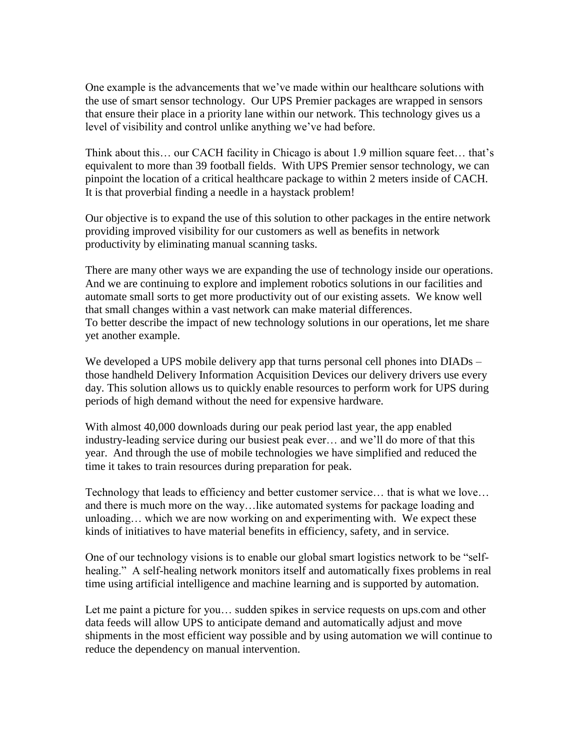One example is the advancements that we've made within our healthcare solutions with the use of smart sensor technology. Our UPS Premier packages are wrapped in sensors that ensure their place in a priority lane within our network. This technology gives us a level of visibility and control unlike anything we've had before.

Think about this… our CACH facility in Chicago is about 1.9 million square feet… that's equivalent to more than 39 football fields. With UPS Premier sensor technology, we can pinpoint the location of a critical healthcare package to within 2 meters inside of CACH. It is that proverbial finding a needle in a haystack problem!

Our objective is to expand the use of this solution to other packages in the entire network providing improved visibility for our customers as well as benefits in network productivity by eliminating manual scanning tasks.

There are many other ways we are expanding the use of technology inside our operations. And we are continuing to explore and implement robotics solutions in our facilities and automate small sorts to get more productivity out of our existing assets. We know well that small changes within a vast network can make material differences. To better describe the impact of new technology solutions in our operations, let me share yet another example.

We developed a UPS mobile delivery app that turns personal cell phones into DIADs – those handheld Delivery Information Acquisition Devices our delivery drivers use every day. This solution allows us to quickly enable resources to perform work for UPS during periods of high demand without the need for expensive hardware.

With almost 40,000 downloads during our peak period last year, the app enabled industry-leading service during our busiest peak ever… and we'll do more of that this year. And through the use of mobile technologies we have simplified and reduced the time it takes to train resources during preparation for peak.

Technology that leads to efficiency and better customer service… that is what we love… and there is much more on the way…like automated systems for package loading and unloading… which we are now working on and experimenting with. We expect these kinds of initiatives to have material benefits in efficiency, safety, and in service.

One of our technology visions is to enable our global smart logistics network to be "selfhealing." A self-healing network monitors itself and automatically fixes problems in real time using artificial intelligence and machine learning and is supported by automation.

Let me paint a picture for you… sudden spikes in service requests on ups.com and other data feeds will allow UPS to anticipate demand and automatically adjust and move shipments in the most efficient way possible and by using automation we will continue to reduce the dependency on manual intervention.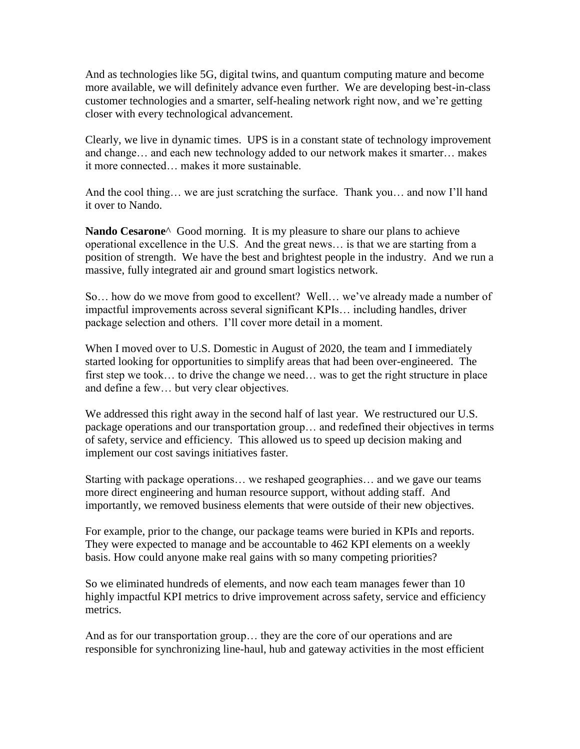And as technologies like 5G, digital twins, and quantum computing mature and become more available, we will definitely advance even further. We are developing best-in-class customer technologies and a smarter, self-healing network right now, and we're getting closer with every technological advancement.

Clearly, we live in dynamic times. UPS is in a constant state of technology improvement and change… and each new technology added to our network makes it smarter… makes it more connected… makes it more sustainable.

And the cool thing… we are just scratching the surface. Thank you… and now I'll hand it over to Nando.

**Nando Cesarone**^ Good morning. It is my pleasure to share our plans to achieve operational excellence in the U.S. And the great news… is that we are starting from a position of strength. We have the best and brightest people in the industry. And we run a massive, fully integrated air and ground smart logistics network.

So… how do we move from good to excellent? Well… we've already made a number of impactful improvements across several significant KPIs… including handles, driver package selection and others. I'll cover more detail in a moment.

When I moved over to U.S. Domestic in August of 2020, the team and I immediately started looking for opportunities to simplify areas that had been over-engineered. The first step we took… to drive the change we need… was to get the right structure in place and define a few… but very clear objectives.

We addressed this right away in the second half of last year. We restructured our U.S. package operations and our transportation group… and redefined their objectives in terms of safety, service and efficiency. This allowed us to speed up decision making and implement our cost savings initiatives faster.

Starting with package operations… we reshaped geographies… and we gave our teams more direct engineering and human resource support, without adding staff. And importantly, we removed business elements that were outside of their new objectives.

For example, prior to the change, our package teams were buried in KPIs and reports. They were expected to manage and be accountable to 462 KPI elements on a weekly basis. How could anyone make real gains with so many competing priorities?

So we eliminated hundreds of elements, and now each team manages fewer than 10 highly impactful KPI metrics to drive improvement across safety, service and efficiency metrics.

And as for our transportation group… they are the core of our operations and are responsible for synchronizing line-haul, hub and gateway activities in the most efficient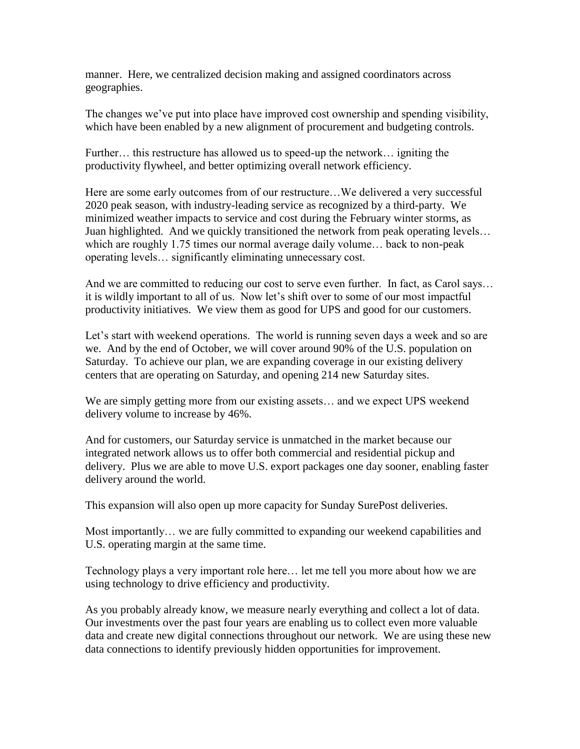manner. Here, we centralized decision making and assigned coordinators across geographies.

The changes we've put into place have improved cost ownership and spending visibility, which have been enabled by a new alignment of procurement and budgeting controls.

Further… this restructure has allowed us to speed-up the network… igniting the productivity flywheel, and better optimizing overall network efficiency.

Here are some early outcomes from of our restructure…We delivered a very successful 2020 peak season, with industry-leading service as recognized by a third-party. We minimized weather impacts to service and cost during the February winter storms, as Juan highlighted. And we quickly transitioned the network from peak operating levels… which are roughly 1.75 times our normal average daily volume… back to non-peak operating levels… significantly eliminating unnecessary cost.

And we are committed to reducing our cost to serve even further. In fact, as Carol says… it is wildly important to all of us. Now let's shift over to some of our most impactful productivity initiatives. We view them as good for UPS and good for our customers.

Let's start with weekend operations. The world is running seven days a week and so are we. And by the end of October, we will cover around 90% of the U.S. population on Saturday. To achieve our plan, we are expanding coverage in our existing delivery centers that are operating on Saturday, and opening 214 new Saturday sites.

We are simply getting more from our existing assets… and we expect UPS weekend delivery volume to increase by 46%.

And for customers, our Saturday service is unmatched in the market because our integrated network allows us to offer both commercial and residential pickup and delivery. Plus we are able to move U.S. export packages one day sooner, enabling faster delivery around the world.

This expansion will also open up more capacity for Sunday SurePost deliveries.

Most importantly… we are fully committed to expanding our weekend capabilities and U.S. operating margin at the same time.

Technology plays a very important role here… let me tell you more about how we are using technology to drive efficiency and productivity.

As you probably already know, we measure nearly everything and collect a lot of data. Our investments over the past four years are enabling us to collect even more valuable data and create new digital connections throughout our network. We are using these new data connections to identify previously hidden opportunities for improvement.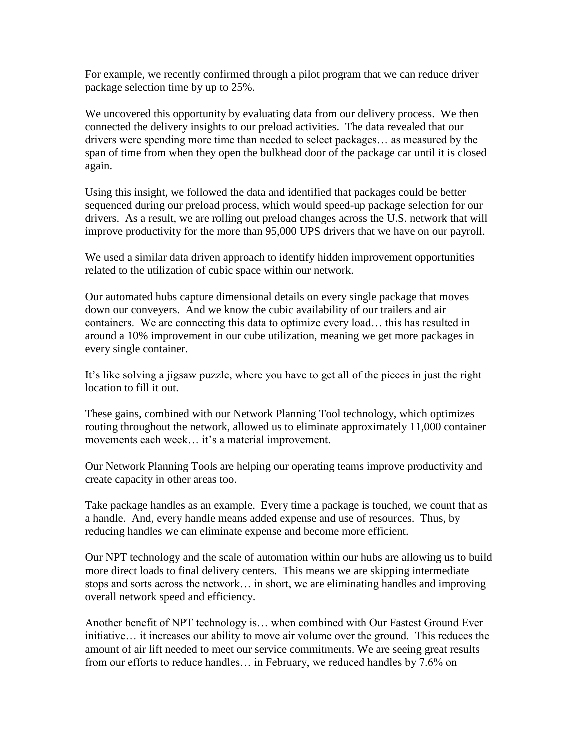For example, we recently confirmed through a pilot program that we can reduce driver package selection time by up to 25%.

We uncovered this opportunity by evaluating data from our delivery process. We then connected the delivery insights to our preload activities. The data revealed that our drivers were spending more time than needed to select packages… as measured by the span of time from when they open the bulkhead door of the package car until it is closed again.

Using this insight, we followed the data and identified that packages could be better sequenced during our preload process, which would speed-up package selection for our drivers. As a result, we are rolling out preload changes across the U.S. network that will improve productivity for the more than 95,000 UPS drivers that we have on our payroll.

We used a similar data driven approach to identify hidden improvement opportunities related to the utilization of cubic space within our network.

Our automated hubs capture dimensional details on every single package that moves down our conveyers. And we know the cubic availability of our trailers and air containers. We are connecting this data to optimize every load… this has resulted in around a 10% improvement in our cube utilization, meaning we get more packages in every single container.

It's like solving a jigsaw puzzle, where you have to get all of the pieces in just the right location to fill it out.

These gains, combined with our Network Planning Tool technology, which optimizes routing throughout the network, allowed us to eliminate approximately 11,000 container movements each week… it's a material improvement.

Our Network Planning Tools are helping our operating teams improve productivity and create capacity in other areas too.

Take package handles as an example. Every time a package is touched, we count that as a handle. And, every handle means added expense and use of resources. Thus, by reducing handles we can eliminate expense and become more efficient.

Our NPT technology and the scale of automation within our hubs are allowing us to build more direct loads to final delivery centers. This means we are skipping intermediate stops and sorts across the network… in short, we are eliminating handles and improving overall network speed and efficiency.

Another benefit of NPT technology is… when combined with Our Fastest Ground Ever initiative… it increases our ability to move air volume over the ground. This reduces the amount of air lift needed to meet our service commitments. We are seeing great results from our efforts to reduce handles… in February, we reduced handles by 7.6% on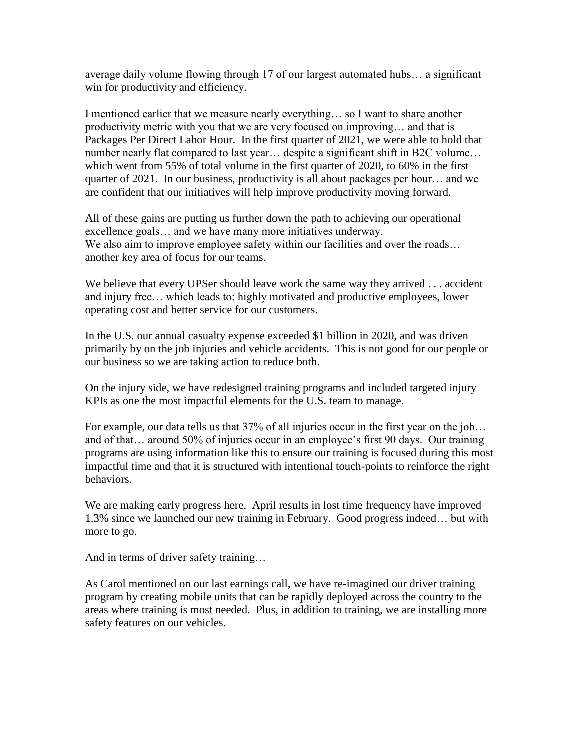average daily volume flowing through 17 of our largest automated hubs… a significant win for productivity and efficiency.

I mentioned earlier that we measure nearly everything… so I want to share another productivity metric with you that we are very focused on improving… and that is Packages Per Direct Labor Hour. In the first quarter of 2021, we were able to hold that number nearly flat compared to last year... despite a significant shift in B2C volume... which went from 55% of total volume in the first quarter of 2020, to 60% in the first quarter of 2021. In our business, productivity is all about packages per hour… and we are confident that our initiatives will help improve productivity moving forward.

All of these gains are putting us further down the path to achieving our operational excellence goals… and we have many more initiatives underway. We also aim to improve employee safety within our facilities and over the roads... another key area of focus for our teams.

We believe that every UPSer should leave work the same way they arrived . . . accident and injury free… which leads to: highly motivated and productive employees, lower operating cost and better service for our customers.

In the U.S. our annual casualty expense exceeded \$1 billion in 2020, and was driven primarily by on the job injuries and vehicle accidents. This is not good for our people or our business so we are taking action to reduce both.

On the injury side, we have redesigned training programs and included targeted injury KPIs as one the most impactful elements for the U.S. team to manage.

For example, our data tells us that 37% of all injuries occur in the first year on the job... and of that… around 50% of injuries occur in an employee's first 90 days. Our training programs are using information like this to ensure our training is focused during this most impactful time and that it is structured with intentional touch-points to reinforce the right behaviors.

We are making early progress here. April results in lost time frequency have improved 1.3% since we launched our new training in February. Good progress indeed… but with more to go.

And in terms of driver safety training…

As Carol mentioned on our last earnings call, we have re-imagined our driver training program by creating mobile units that can be rapidly deployed across the country to the areas where training is most needed. Plus, in addition to training, we are installing more safety features on our vehicles.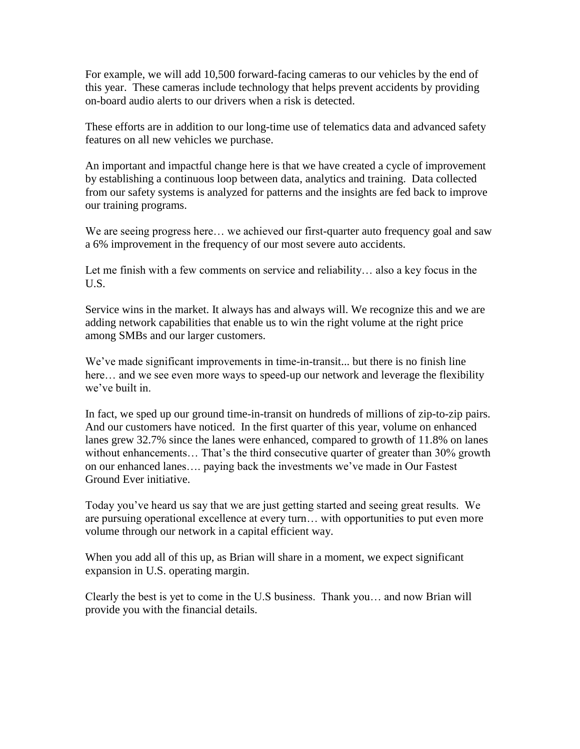For example, we will add 10,500 forward-facing cameras to our vehicles by the end of this year. These cameras include technology that helps prevent accidents by providing on-board audio alerts to our drivers when a risk is detected.

These efforts are in addition to our long-time use of telematics data and advanced safety features on all new vehicles we purchase.

An important and impactful change here is that we have created a cycle of improvement by establishing a continuous loop between data, analytics and training. Data collected from our safety systems is analyzed for patterns and the insights are fed back to improve our training programs.

We are seeing progress here... we achieved our first-quarter auto frequency goal and saw a 6% improvement in the frequency of our most severe auto accidents.

Let me finish with a few comments on service and reliability… also a key focus in the U.S.

Service wins in the market. It always has and always will. We recognize this and we are adding network capabilities that enable us to win the right volume at the right price among SMBs and our larger customers.

We've made significant improvements in time-in-transit... but there is no finish line here… and we see even more ways to speed-up our network and leverage the flexibility we've built in.

In fact, we sped up our ground time-in-transit on hundreds of millions of zip-to-zip pairs. And our customers have noticed. In the first quarter of this year, volume on enhanced lanes grew 32.7% since the lanes were enhanced, compared to growth of 11.8% on lanes without enhancements... That's the third consecutive quarter of greater than 30% growth on our enhanced lanes…. paying back the investments we've made in Our Fastest Ground Ever initiative.

Today you've heard us say that we are just getting started and seeing great results. We are pursuing operational excellence at every turn… with opportunities to put even more volume through our network in a capital efficient way.

When you add all of this up, as Brian will share in a moment, we expect significant expansion in U.S. operating margin.

Clearly the best is yet to come in the U.S business. Thank you… and now Brian will provide you with the financial details.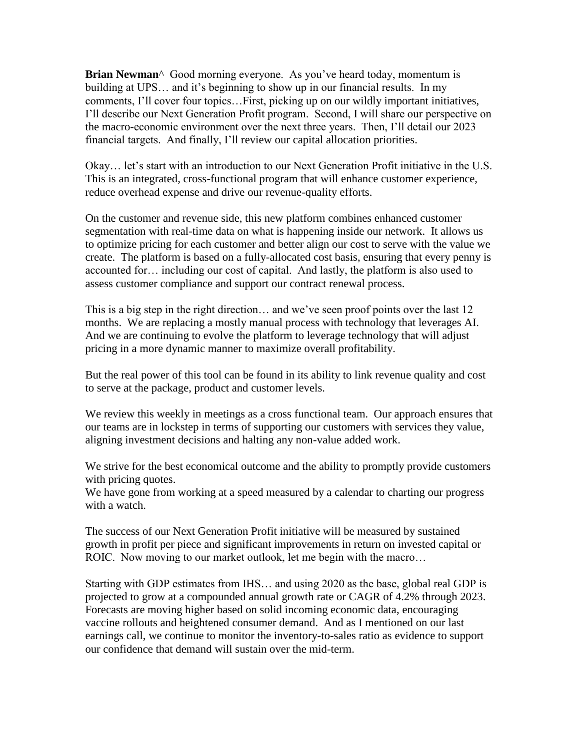**Brian Newman**^ Good morning everyone. As you've heard today, momentum is building at UPS… and it's beginning to show up in our financial results. In my comments, I'll cover four topics…First, picking up on our wildly important initiatives, I'll describe our Next Generation Profit program. Second, I will share our perspective on the macro-economic environment over the next three years. Then, I'll detail our 2023 financial targets. And finally, I'll review our capital allocation priorities.

Okay… let's start with an introduction to our Next Generation Profit initiative in the U.S. This is an integrated, cross-functional program that will enhance customer experience, reduce overhead expense and drive our revenue-quality efforts.

On the customer and revenue side, this new platform combines enhanced customer segmentation with real-time data on what is happening inside our network. It allows us to optimize pricing for each customer and better align our cost to serve with the value we create. The platform is based on a fully-allocated cost basis, ensuring that every penny is accounted for… including our cost of capital. And lastly, the platform is also used to assess customer compliance and support our contract renewal process.

This is a big step in the right direction… and we've seen proof points over the last 12 months. We are replacing a mostly manual process with technology that leverages AI. And we are continuing to evolve the platform to leverage technology that will adjust pricing in a more dynamic manner to maximize overall profitability.

But the real power of this tool can be found in its ability to link revenue quality and cost to serve at the package, product and customer levels.

We review this weekly in meetings as a cross functional team. Our approach ensures that our teams are in lockstep in terms of supporting our customers with services they value, aligning investment decisions and halting any non-value added work.

We strive for the best economical outcome and the ability to promptly provide customers with pricing quotes.

We have gone from working at a speed measured by a calendar to charting our progress with a watch.

The success of our Next Generation Profit initiative will be measured by sustained growth in profit per piece and significant improvements in return on invested capital or ROIC. Now moving to our market outlook, let me begin with the macro...

Starting with GDP estimates from IHS… and using 2020 as the base, global real GDP is projected to grow at a compounded annual growth rate or CAGR of 4.2% through 2023. Forecasts are moving higher based on solid incoming economic data, encouraging vaccine rollouts and heightened consumer demand. And as I mentioned on our last earnings call, we continue to monitor the inventory-to-sales ratio as evidence to support our confidence that demand will sustain over the mid-term.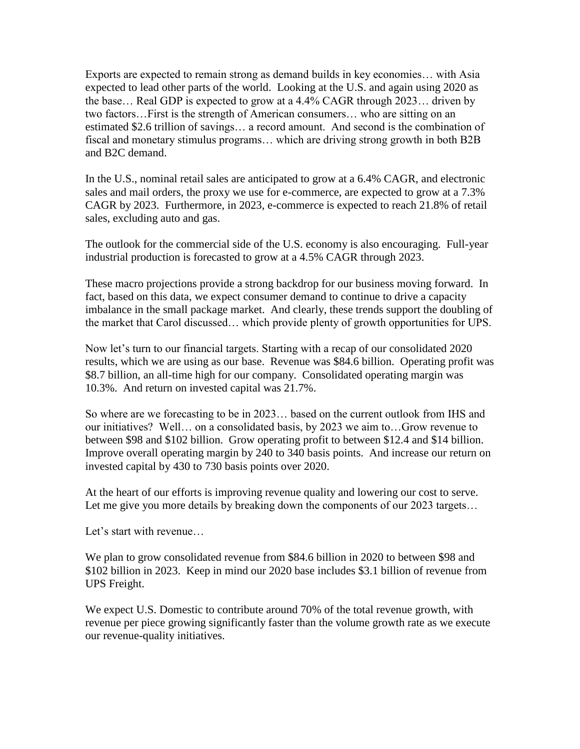Exports are expected to remain strong as demand builds in key economies… with Asia expected to lead other parts of the world. Looking at the U.S. and again using 2020 as the base… Real GDP is expected to grow at a 4.4% CAGR through 2023… driven by two factors…First is the strength of American consumers… who are sitting on an estimated \$2.6 trillion of savings… a record amount. And second is the combination of fiscal and monetary stimulus programs… which are driving strong growth in both B2B and B2C demand.

In the U.S., nominal retail sales are anticipated to grow at a 6.4% CAGR, and electronic sales and mail orders, the proxy we use for e-commerce, are expected to grow at a 7.3% CAGR by 2023. Furthermore, in 2023, e-commerce is expected to reach 21.8% of retail sales, excluding auto and gas.

The outlook for the commercial side of the U.S. economy is also encouraging. Full-year industrial production is forecasted to grow at a 4.5% CAGR through 2023.

These macro projections provide a strong backdrop for our business moving forward. In fact, based on this data, we expect consumer demand to continue to drive a capacity imbalance in the small package market. And clearly, these trends support the doubling of the market that Carol discussed… which provide plenty of growth opportunities for UPS.

Now let's turn to our financial targets. Starting with a recap of our consolidated 2020 results, which we are using as our base. Revenue was \$84.6 billion. Operating profit was \$8.7 billion, an all-time high for our company. Consolidated operating margin was 10.3%. And return on invested capital was 21.7%.

So where are we forecasting to be in 2023… based on the current outlook from IHS and our initiatives? Well… on a consolidated basis, by 2023 we aim to…Grow revenue to between \$98 and \$102 billion. Grow operating profit to between \$12.4 and \$14 billion. Improve overall operating margin by 240 to 340 basis points. And increase our return on invested capital by 430 to 730 basis points over 2020.

At the heart of our efforts is improving revenue quality and lowering our cost to serve. Let me give you more details by breaking down the components of our 2023 targets...

Let's start with revenue…

We plan to grow consolidated revenue from \$84.6 billion in 2020 to between \$98 and \$102 billion in 2023. Keep in mind our 2020 base includes \$3.1 billion of revenue from UPS Freight.

We expect U.S. Domestic to contribute around 70% of the total revenue growth, with revenue per piece growing significantly faster than the volume growth rate as we execute our revenue-quality initiatives.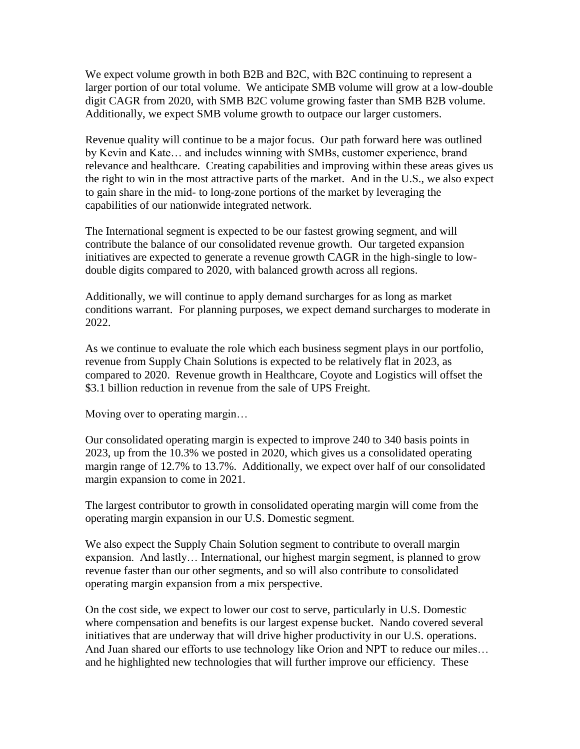We expect volume growth in both B2B and B2C, with B2C continuing to represent a larger portion of our total volume. We anticipate SMB volume will grow at a low-double digit CAGR from 2020, with SMB B2C volume growing faster than SMB B2B volume. Additionally, we expect SMB volume growth to outpace our larger customers.

Revenue quality will continue to be a major focus. Our path forward here was outlined by Kevin and Kate… and includes winning with SMBs, customer experience, brand relevance and healthcare. Creating capabilities and improving within these areas gives us the right to win in the most attractive parts of the market. And in the U.S., we also expect to gain share in the mid- to long-zone portions of the market by leveraging the capabilities of our nationwide integrated network.

The International segment is expected to be our fastest growing segment, and will contribute the balance of our consolidated revenue growth. Our targeted expansion initiatives are expected to generate a revenue growth CAGR in the high-single to lowdouble digits compared to 2020, with balanced growth across all regions.

Additionally, we will continue to apply demand surcharges for as long as market conditions warrant. For planning purposes, we expect demand surcharges to moderate in 2022.

As we continue to evaluate the role which each business segment plays in our portfolio, revenue from Supply Chain Solutions is expected to be relatively flat in 2023, as compared to 2020. Revenue growth in Healthcare, Coyote and Logistics will offset the \$3.1 billion reduction in revenue from the sale of UPS Freight.

Moving over to operating margin…

Our consolidated operating margin is expected to improve 240 to 340 basis points in 2023, up from the 10.3% we posted in 2020, which gives us a consolidated operating margin range of 12.7% to 13.7%. Additionally, we expect over half of our consolidated margin expansion to come in 2021.

The largest contributor to growth in consolidated operating margin will come from the operating margin expansion in our U.S. Domestic segment.

We also expect the Supply Chain Solution segment to contribute to overall margin expansion. And lastly… International, our highest margin segment, is planned to grow revenue faster than our other segments, and so will also contribute to consolidated operating margin expansion from a mix perspective.

On the cost side, we expect to lower our cost to serve, particularly in U.S. Domestic where compensation and benefits is our largest expense bucket. Nando covered several initiatives that are underway that will drive higher productivity in our U.S. operations. And Juan shared our efforts to use technology like Orion and NPT to reduce our miles… and he highlighted new technologies that will further improve our efficiency. These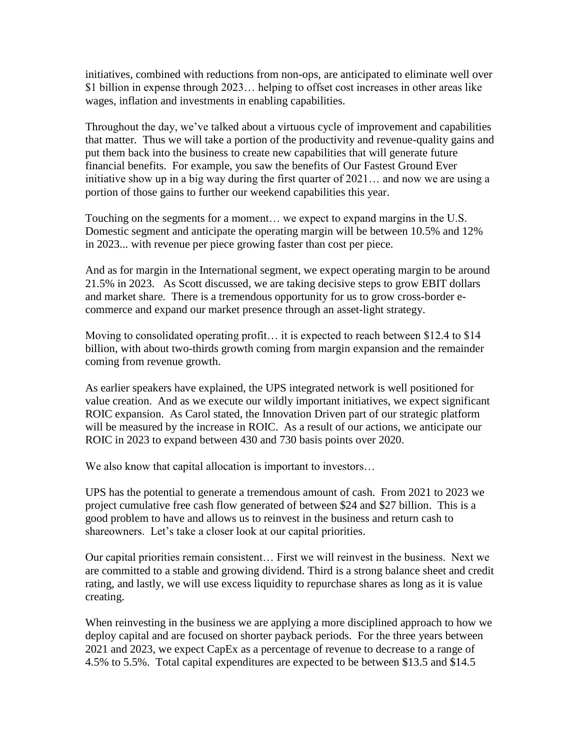initiatives, combined with reductions from non-ops, are anticipated to eliminate well over \$1 billion in expense through 2023… helping to offset cost increases in other areas like wages, inflation and investments in enabling capabilities.

Throughout the day, we've talked about a virtuous cycle of improvement and capabilities that matter. Thus we will take a portion of the productivity and revenue-quality gains and put them back into the business to create new capabilities that will generate future financial benefits. For example, you saw the benefits of Our Fastest Ground Ever initiative show up in a big way during the first quarter of 2021… and now we are using a portion of those gains to further our weekend capabilities this year.

Touching on the segments for a moment… we expect to expand margins in the U.S. Domestic segment and anticipate the operating margin will be between 10.5% and 12% in 2023... with revenue per piece growing faster than cost per piece.

And as for margin in the International segment, we expect operating margin to be around 21.5% in 2023. As Scott discussed, we are taking decisive steps to grow EBIT dollars and market share. There is a tremendous opportunity for us to grow cross-border ecommerce and expand our market presence through an asset-light strategy.

Moving to consolidated operating profit… it is expected to reach between \$12.4 to \$14 billion, with about two-thirds growth coming from margin expansion and the remainder coming from revenue growth.

As earlier speakers have explained, the UPS integrated network is well positioned for value creation. And as we execute our wildly important initiatives, we expect significant ROIC expansion. As Carol stated, the Innovation Driven part of our strategic platform will be measured by the increase in ROIC. As a result of our actions, we anticipate our ROIC in 2023 to expand between 430 and 730 basis points over 2020.

We also know that capital allocation is important to investors...

UPS has the potential to generate a tremendous amount of cash. From 2021 to 2023 we project cumulative free cash flow generated of between \$24 and \$27 billion. This is a good problem to have and allows us to reinvest in the business and return cash to shareowners. Let's take a closer look at our capital priorities.

Our capital priorities remain consistent… First we will reinvest in the business. Next we are committed to a stable and growing dividend. Third is a strong balance sheet and credit rating, and lastly, we will use excess liquidity to repurchase shares as long as it is value creating.

When reinvesting in the business we are applying a more disciplined approach to how we deploy capital and are focused on shorter payback periods. For the three years between 2021 and 2023, we expect CapEx as a percentage of revenue to decrease to a range of 4.5% to 5.5%. Total capital expenditures are expected to be between \$13.5 and \$14.5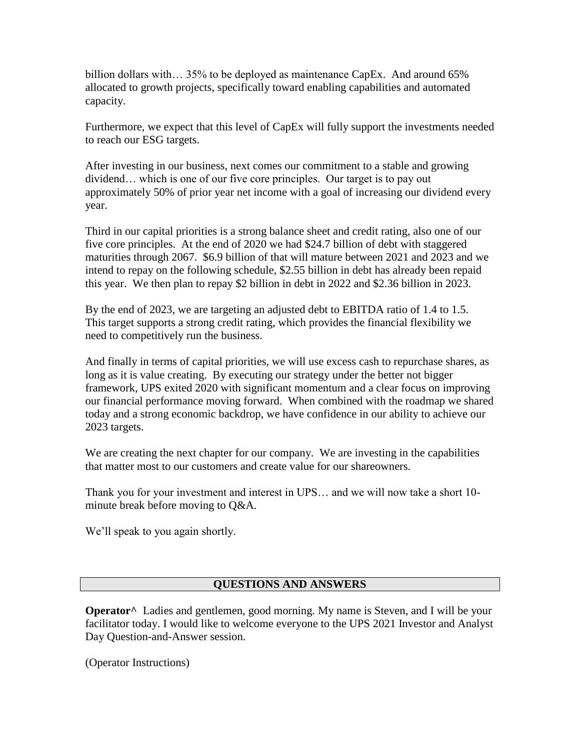billion dollars with… 35% to be deployed as maintenance CapEx. And around 65% allocated to growth projects, specifically toward enabling capabilities and automated capacity.

Furthermore, we expect that this level of CapEx will fully support the investments needed to reach our ESG targets.

After investing in our business, next comes our commitment to a stable and growing dividend… which is one of our five core principles. Our target is to pay out approximately 50% of prior year net income with a goal of increasing our dividend every year.

Third in our capital priorities is a strong balance sheet and credit rating, also one of our five core principles. At the end of 2020 we had \$24.7 billion of debt with staggered maturities through 2067. \$6.9 billion of that will mature between 2021 and 2023 and we intend to repay on the following schedule, \$2.55 billion in debt has already been repaid this year. We then plan to repay \$2 billion in debt in 2022 and \$2.36 billion in 2023.

By the end of 2023, we are targeting an adjusted debt to EBITDA ratio of 1.4 to 1.5. This target supports a strong credit rating, which provides the financial flexibility we need to competitively run the business.

And finally in terms of capital priorities, we will use excess cash to repurchase shares, as long as it is value creating. By executing our strategy under the better not bigger framework, UPS exited 2020 with significant momentum and a clear focus on improving our financial performance moving forward. When combined with the roadmap we shared today and a strong economic backdrop, we have confidence in our ability to achieve our 2023 targets.

We are creating the next chapter for our company. We are investing in the capabilities that matter most to our customers and create value for our shareowners.

Thank you for your investment and interest in UPS… and we will now take a short 10 minute break before moving to Q&A.

We'll speak to you again shortly.

#### **QUESTIONS AND ANSWERS**

**Operator^** Ladies and gentlemen, good morning. My name is Steven, and I will be your facilitator today. I would like to welcome everyone to the UPS 2021 Investor and Analyst Day Question-and-Answer session.

(Operator Instructions)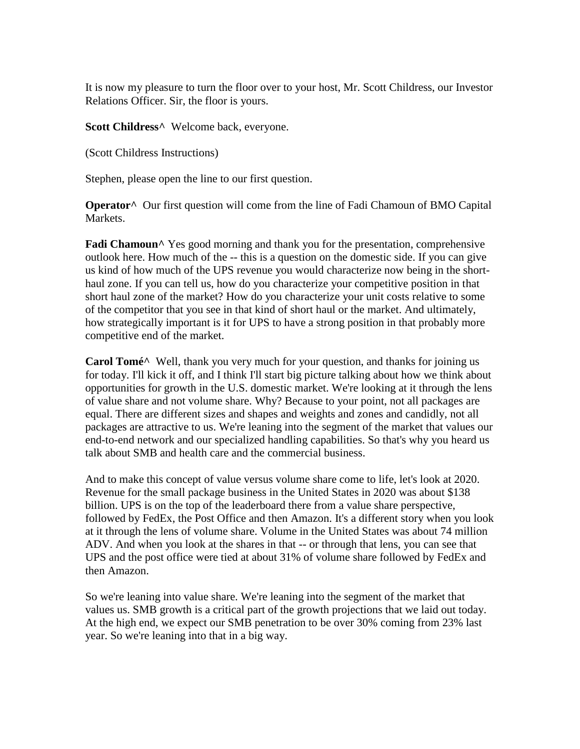It is now my pleasure to turn the floor over to your host, Mr. Scott Childress, our Investor Relations Officer. Sir, the floor is yours.

**Scott Childress^** Welcome back, everyone.

(Scott Childress Instructions)

Stephen, please open the line to our first question.

**Operator^** Our first question will come from the line of Fadi Chamoun of BMO Capital Markets.

**Fadi Chamoun**<sup>^</sup> Yes good morning and thank you for the presentation, comprehensive outlook here. How much of the -- this is a question on the domestic side. If you can give us kind of how much of the UPS revenue you would characterize now being in the shorthaul zone. If you can tell us, how do you characterize your competitive position in that short haul zone of the market? How do you characterize your unit costs relative to some of the competitor that you see in that kind of short haul or the market. And ultimately, how strategically important is it for UPS to have a strong position in that probably more competitive end of the market.

**Carol Tomé^** Well, thank you very much for your question, and thanks for joining us for today. I'll kick it off, and I think I'll start big picture talking about how we think about opportunities for growth in the U.S. domestic market. We're looking at it through the lens of value share and not volume share. Why? Because to your point, not all packages are equal. There are different sizes and shapes and weights and zones and candidly, not all packages are attractive to us. We're leaning into the segment of the market that values our end-to-end network and our specialized handling capabilities. So that's why you heard us talk about SMB and health care and the commercial business.

And to make this concept of value versus volume share come to life, let's look at 2020. Revenue for the small package business in the United States in 2020 was about \$138 billion. UPS is on the top of the leaderboard there from a value share perspective, followed by FedEx, the Post Office and then Amazon. It's a different story when you look at it through the lens of volume share. Volume in the United States was about 74 million ADV. And when you look at the shares in that -- or through that lens, you can see that UPS and the post office were tied at about 31% of volume share followed by FedEx and then Amazon.

So we're leaning into value share. We're leaning into the segment of the market that values us. SMB growth is a critical part of the growth projections that we laid out today. At the high end, we expect our SMB penetration to be over 30% coming from 23% last year. So we're leaning into that in a big way.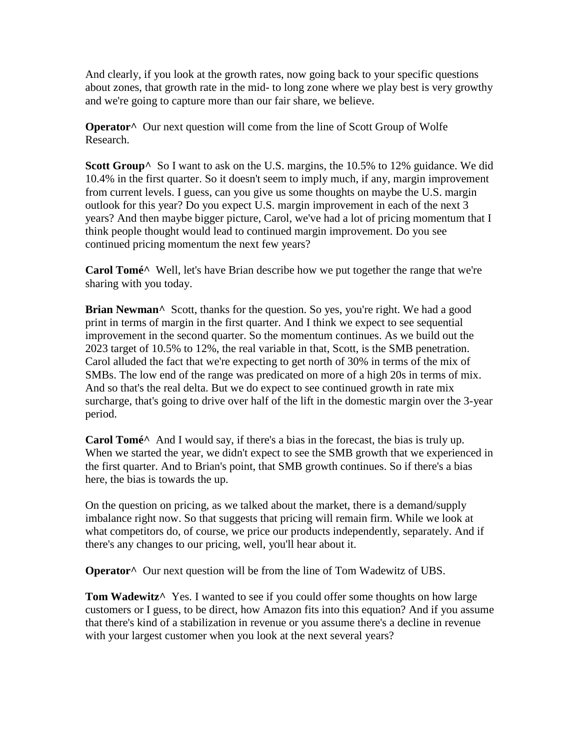And clearly, if you look at the growth rates, now going back to your specific questions about zones, that growth rate in the mid- to long zone where we play best is very growthy and we're going to capture more than our fair share, we believe.

**Operator^** Our next question will come from the line of Scott Group of Wolfe Research.

**Scott Group**<sup>^</sup> So I want to ask on the U.S. margins, the 10.5% to 12% guidance. We did 10.4% in the first quarter. So it doesn't seem to imply much, if any, margin improvement from current levels. I guess, can you give us some thoughts on maybe the U.S. margin outlook for this year? Do you expect U.S. margin improvement in each of the next 3 years? And then maybe bigger picture, Carol, we've had a lot of pricing momentum that I think people thought would lead to continued margin improvement. Do you see continued pricing momentum the next few years?

**Carol Tomé^** Well, let's have Brian describe how we put together the range that we're sharing with you today.

**Brian Newman**<sup>^</sup> Scott, thanks for the question. So yes, you're right. We had a good print in terms of margin in the first quarter. And I think we expect to see sequential improvement in the second quarter. So the momentum continues. As we build out the 2023 target of 10.5% to 12%, the real variable in that, Scott, is the SMB penetration. Carol alluded the fact that we're expecting to get north of 30% in terms of the mix of SMBs. The low end of the range was predicated on more of a high 20s in terms of mix. And so that's the real delta. But we do expect to see continued growth in rate mix surcharge, that's going to drive over half of the lift in the domestic margin over the 3-year period.

**Carol Tomé^** And I would say, if there's a bias in the forecast, the bias is truly up. When we started the year, we didn't expect to see the SMB growth that we experienced in the first quarter. And to Brian's point, that SMB growth continues. So if there's a bias here, the bias is towards the up.

On the question on pricing, as we talked about the market, there is a demand/supply imbalance right now. So that suggests that pricing will remain firm. While we look at what competitors do, of course, we price our products independently, separately. And if there's any changes to our pricing, well, you'll hear about it.

**Operator**<sup>^</sup> Our next question will be from the line of Tom Wadewitz of UBS.

**Tom Wadewitz^** Yes. I wanted to see if you could offer some thoughts on how large customers or I guess, to be direct, how Amazon fits into this equation? And if you assume that there's kind of a stabilization in revenue or you assume there's a decline in revenue with your largest customer when you look at the next several years?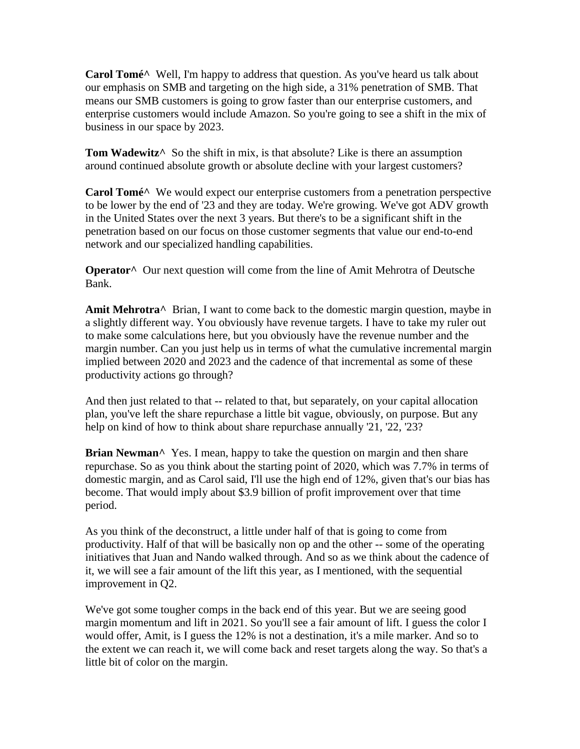**Carol Tomé^** Well, I'm happy to address that question. As you've heard us talk about our emphasis on SMB and targeting on the high side, a 31% penetration of SMB. That means our SMB customers is going to grow faster than our enterprise customers, and enterprise customers would include Amazon. So you're going to see a shift in the mix of business in our space by 2023.

**Tom Wadewitz**<sup>^</sup> So the shift in mix, is that absolute? Like is there an assumption around continued absolute growth or absolute decline with your largest customers?

**Carol Tomé^** We would expect our enterprise customers from a penetration perspective to be lower by the end of '23 and they are today. We're growing. We've got ADV growth in the United States over the next 3 years. But there's to be a significant shift in the penetration based on our focus on those customer segments that value our end-to-end network and our specialized handling capabilities.

**Operator^** Our next question will come from the line of Amit Mehrotra of Deutsche Bank.

**Amit Mehrotra^** Brian, I want to come back to the domestic margin question, maybe in a slightly different way. You obviously have revenue targets. I have to take my ruler out to make some calculations here, but you obviously have the revenue number and the margin number. Can you just help us in terms of what the cumulative incremental margin implied between 2020 and 2023 and the cadence of that incremental as some of these productivity actions go through?

And then just related to that -- related to that, but separately, on your capital allocation plan, you've left the share repurchase a little bit vague, obviously, on purpose. But any help on kind of how to think about share repurchase annually '21, '22, '23?

**Brian Newman**<sup>^</sup> Yes. I mean, happy to take the question on margin and then share repurchase. So as you think about the starting point of 2020, which was 7.7% in terms of domestic margin, and as Carol said, I'll use the high end of 12%, given that's our bias has become. That would imply about \$3.9 billion of profit improvement over that time period.

As you think of the deconstruct, a little under half of that is going to come from productivity. Half of that will be basically non op and the other -- some of the operating initiatives that Juan and Nando walked through. And so as we think about the cadence of it, we will see a fair amount of the lift this year, as I mentioned, with the sequential improvement in Q2.

We've got some tougher comps in the back end of this year. But we are seeing good margin momentum and lift in 2021. So you'll see a fair amount of lift. I guess the color I would offer, Amit, is I guess the 12% is not a destination, it's a mile marker. And so to the extent we can reach it, we will come back and reset targets along the way. So that's a little bit of color on the margin.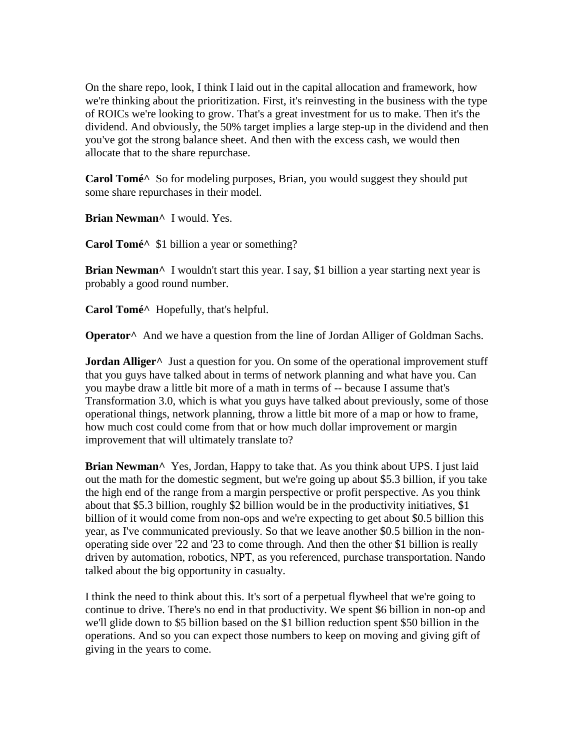On the share repo, look, I think I laid out in the capital allocation and framework, how we're thinking about the prioritization. First, it's reinvesting in the business with the type of ROICs we're looking to grow. That's a great investment for us to make. Then it's the dividend. And obviously, the 50% target implies a large step-up in the dividend and then you've got the strong balance sheet. And then with the excess cash, we would then allocate that to the share repurchase.

**Carol Tomé^** So for modeling purposes, Brian, you would suggest they should put some share repurchases in their model.

**Brian Newman^** I would. Yes.

**Carol Tomé^** \$1 billion a year or something?

**Brian Newman**<sup> $\wedge$ </sup> I wouldn't start this year. I say, \$1 billion a year starting next year is probably a good round number.

**Carol Tomé^** Hopefully, that's helpful.

**Operator**<sup>^</sup> And we have a question from the line of Jordan Alliger of Goldman Sachs.

**Jordan Alliger**<sup>^</sup> Just a question for you. On some of the operational improvement stuff that you guys have talked about in terms of network planning and what have you. Can you maybe draw a little bit more of a math in terms of -- because I assume that's Transformation 3.0, which is what you guys have talked about previously, some of those operational things, network planning, throw a little bit more of a map or how to frame, how much cost could come from that or how much dollar improvement or margin improvement that will ultimately translate to?

**Brian Newman^** Yes, Jordan, Happy to take that. As you think about UPS. I just laid out the math for the domestic segment, but we're going up about \$5.3 billion, if you take the high end of the range from a margin perspective or profit perspective. As you think about that \$5.3 billion, roughly \$2 billion would be in the productivity initiatives, \$1 billion of it would come from non-ops and we're expecting to get about \$0.5 billion this year, as I've communicated previously. So that we leave another \$0.5 billion in the nonoperating side over '22 and '23 to come through. And then the other \$1 billion is really driven by automation, robotics, NPT, as you referenced, purchase transportation. Nando talked about the big opportunity in casualty.

I think the need to think about this. It's sort of a perpetual flywheel that we're going to continue to drive. There's no end in that productivity. We spent \$6 billion in non-op and we'll glide down to \$5 billion based on the \$1 billion reduction spent \$50 billion in the operations. And so you can expect those numbers to keep on moving and giving gift of giving in the years to come.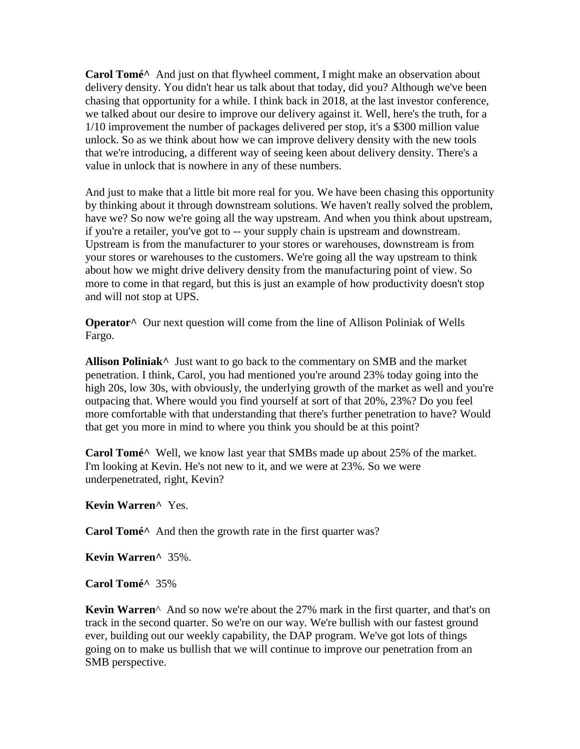**Carol Tomé^** And just on that flywheel comment, I might make an observation about delivery density. You didn't hear us talk about that today, did you? Although we've been chasing that opportunity for a while. I think back in 2018, at the last investor conference, we talked about our desire to improve our delivery against it. Well, here's the truth, for a 1/10 improvement the number of packages delivered per stop, it's a \$300 million value unlock. So as we think about how we can improve delivery density with the new tools that we're introducing, a different way of seeing keen about delivery density. There's a value in unlock that is nowhere in any of these numbers.

And just to make that a little bit more real for you. We have been chasing this opportunity by thinking about it through downstream solutions. We haven't really solved the problem, have we? So now we're going all the way upstream. And when you think about upstream, if you're a retailer, you've got to -- your supply chain is upstream and downstream. Upstream is from the manufacturer to your stores or warehouses, downstream is from your stores or warehouses to the customers. We're going all the way upstream to think about how we might drive delivery density from the manufacturing point of view. So more to come in that regard, but this is just an example of how productivity doesn't stop and will not stop at UPS.

**Operator^** Our next question will come from the line of Allison Poliniak of Wells Fargo.

**Allison Poliniak^** Just want to go back to the commentary on SMB and the market penetration. I think, Carol, you had mentioned you're around 23% today going into the high 20s, low 30s, with obviously, the underlying growth of the market as well and you're outpacing that. Where would you find yourself at sort of that 20%, 23%? Do you feel more comfortable with that understanding that there's further penetration to have? Would that get you more in mind to where you think you should be at this point?

**Carol Tomé^** Well, we know last year that SMBs made up about 25% of the market. I'm looking at Kevin. He's not new to it, and we were at 23%. So we were underpenetrated, right, Kevin?

**Kevin Warren^** Yes.

**Carol Tomé^** And then the growth rate in the first quarter was?

**Kevin Warren^** 35%.

**Carol Tomé^** 35%

**Kevin Warren**^ And so now we're about the 27% mark in the first quarter, and that's on track in the second quarter. So we're on our way. We're bullish with our fastest ground ever, building out our weekly capability, the DAP program. We've got lots of things going on to make us bullish that we will continue to improve our penetration from an SMB perspective.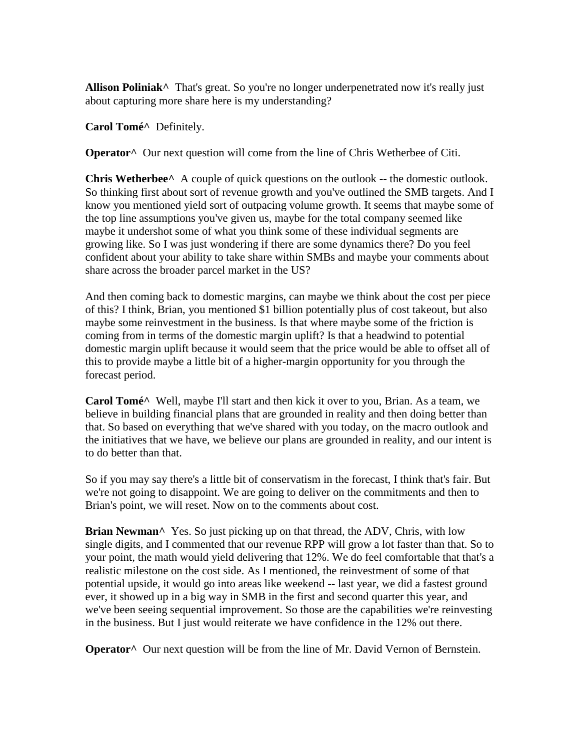Allison Poliniak<sup>^</sup> That's great. So you're no longer underpenetrated now it's really just about capturing more share here is my understanding?

**Carol Tomé^** Definitely.

**Operator^** Our next question will come from the line of Chris Wetherbee of Citi.

**Chris Wetherbee**<sup>^</sup> A couple of quick questions on the outlook -- the domestic outlook. So thinking first about sort of revenue growth and you've outlined the SMB targets. And I know you mentioned yield sort of outpacing volume growth. It seems that maybe some of the top line assumptions you've given us, maybe for the total company seemed like maybe it undershot some of what you think some of these individual segments are growing like. So I was just wondering if there are some dynamics there? Do you feel confident about your ability to take share within SMBs and maybe your comments about share across the broader parcel market in the US?

And then coming back to domestic margins, can maybe we think about the cost per piece of this? I think, Brian, you mentioned \$1 billion potentially plus of cost takeout, but also maybe some reinvestment in the business. Is that where maybe some of the friction is coming from in terms of the domestic margin uplift? Is that a headwind to potential domestic margin uplift because it would seem that the price would be able to offset all of this to provide maybe a little bit of a higher-margin opportunity for you through the forecast period.

**Carol Tomé^** Well, maybe I'll start and then kick it over to you, Brian. As a team, we believe in building financial plans that are grounded in reality and then doing better than that. So based on everything that we've shared with you today, on the macro outlook and the initiatives that we have, we believe our plans are grounded in reality, and our intent is to do better than that.

So if you may say there's a little bit of conservatism in the forecast, I think that's fair. But we're not going to disappoint. We are going to deliver on the commitments and then to Brian's point, we will reset. Now on to the comments about cost.

**Brian Newman**<sup> $\wedge$ </sup> Yes. So just picking up on that thread, the ADV, Chris, with low single digits, and I commented that our revenue RPP will grow a lot faster than that. So to your point, the math would yield delivering that 12%. We do feel comfortable that that's a realistic milestone on the cost side. As I mentioned, the reinvestment of some of that potential upside, it would go into areas like weekend -- last year, we did a fastest ground ever, it showed up in a big way in SMB in the first and second quarter this year, and we've been seeing sequential improvement. So those are the capabilities we're reinvesting in the business. But I just would reiterate we have confidence in the 12% out there.

**Operator^** Our next question will be from the line of Mr. David Vernon of Bernstein.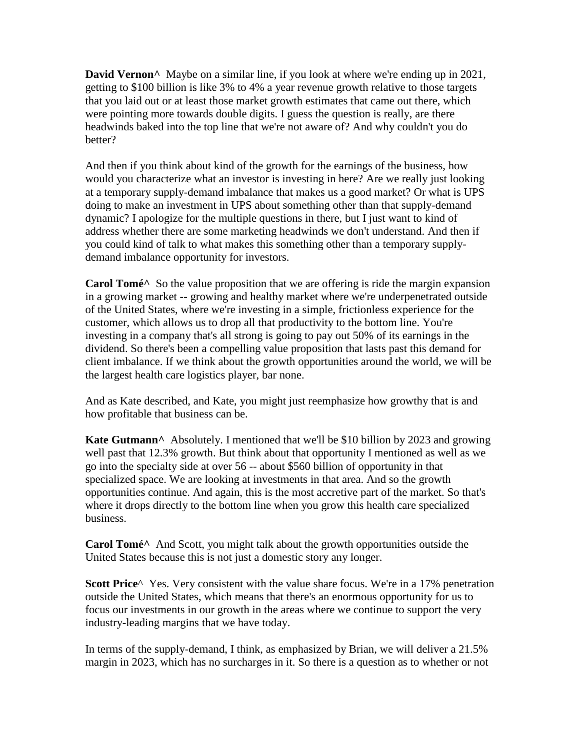**David Vernon**<sup>^</sup> Maybe on a similar line, if you look at where we're ending up in 2021, getting to \$100 billion is like 3% to 4% a year revenue growth relative to those targets that you laid out or at least those market growth estimates that came out there, which were pointing more towards double digits. I guess the question is really, are there headwinds baked into the top line that we're not aware of? And why couldn't you do better?

And then if you think about kind of the growth for the earnings of the business, how would you characterize what an investor is investing in here? Are we really just looking at a temporary supply-demand imbalance that makes us a good market? Or what is UPS doing to make an investment in UPS about something other than that supply-demand dynamic? I apologize for the multiple questions in there, but I just want to kind of address whether there are some marketing headwinds we don't understand. And then if you could kind of talk to what makes this something other than a temporary supplydemand imbalance opportunity for investors.

**Carol Tomé**<sup>^</sup> So the value proposition that we are offering is ride the margin expansion in a growing market -- growing and healthy market where we're underpenetrated outside of the United States, where we're investing in a simple, frictionless experience for the customer, which allows us to drop all that productivity to the bottom line. You're investing in a company that's all strong is going to pay out 50% of its earnings in the dividend. So there's been a compelling value proposition that lasts past this demand for client imbalance. If we think about the growth opportunities around the world, we will be the largest health care logistics player, bar none.

And as Kate described, and Kate, you might just reemphasize how growthy that is and how profitable that business can be.

**Kate Gutmann^** Absolutely. I mentioned that we'll be \$10 billion by 2023 and growing well past that 12.3% growth. But think about that opportunity I mentioned as well as we go into the specialty side at over 56 -- about \$560 billion of opportunity in that specialized space. We are looking at investments in that area. And so the growth opportunities continue. And again, this is the most accretive part of the market. So that's where it drops directly to the bottom line when you grow this health care specialized business.

**Carol Tomé^** And Scott, you might talk about the growth opportunities outside the United States because this is not just a domestic story any longer.

**Scott Price**^ Yes. Very consistent with the value share focus. We're in a 17% penetration outside the United States, which means that there's an enormous opportunity for us to focus our investments in our growth in the areas where we continue to support the very industry-leading margins that we have today.

In terms of the supply-demand, I think, as emphasized by Brian, we will deliver a 21.5% margin in 2023, which has no surcharges in it. So there is a question as to whether or not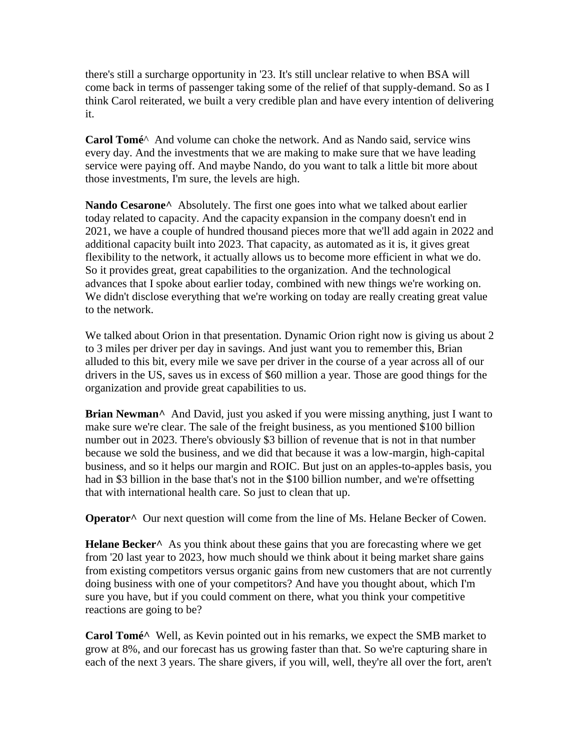there's still a surcharge opportunity in '23. It's still unclear relative to when BSA will come back in terms of passenger taking some of the relief of that supply-demand. So as I think Carol reiterated, we built a very credible plan and have every intention of delivering it.

**Carol Tomé**^ And volume can choke the network. And as Nando said, service wins every day. And the investments that we are making to make sure that we have leading service were paying off. And maybe Nando, do you want to talk a little bit more about those investments, I'm sure, the levels are high.

Nando Cesarone<sup>^</sup> Absolutely. The first one goes into what we talked about earlier today related to capacity. And the capacity expansion in the company doesn't end in 2021, we have a couple of hundred thousand pieces more that we'll add again in 2022 and additional capacity built into 2023. That capacity, as automated as it is, it gives great flexibility to the network, it actually allows us to become more efficient in what we do. So it provides great, great capabilities to the organization. And the technological advances that I spoke about earlier today, combined with new things we're working on. We didn't disclose everything that we're working on today are really creating great value to the network.

We talked about Orion in that presentation. Dynamic Orion right now is giving us about 2 to 3 miles per driver per day in savings. And just want you to remember this, Brian alluded to this bit, every mile we save per driver in the course of a year across all of our drivers in the US, saves us in excess of \$60 million a year. Those are good things for the organization and provide great capabilities to us.

**Brian Newman^** And David, just you asked if you were missing anything, just I want to make sure we're clear. The sale of the freight business, as you mentioned \$100 billion number out in 2023. There's obviously \$3 billion of revenue that is not in that number because we sold the business, and we did that because it was a low-margin, high-capital business, and so it helps our margin and ROIC. But just on an apples-to-apples basis, you had in \$3 billion in the base that's not in the \$100 billion number, and we're offsetting that with international health care. So just to clean that up.

**Operator**<sup>^</sup> Our next question will come from the line of Ms. Helane Becker of Cowen.

**Helane Becker^** As you think about these gains that you are forecasting where we get from '20 last year to 2023, how much should we think about it being market share gains from existing competitors versus organic gains from new customers that are not currently doing business with one of your competitors? And have you thought about, which I'm sure you have, but if you could comment on there, what you think your competitive reactions are going to be?

**Carol Tomé^** Well, as Kevin pointed out in his remarks, we expect the SMB market to grow at 8%, and our forecast has us growing faster than that. So we're capturing share in each of the next 3 years. The share givers, if you will, well, they're all over the fort, aren't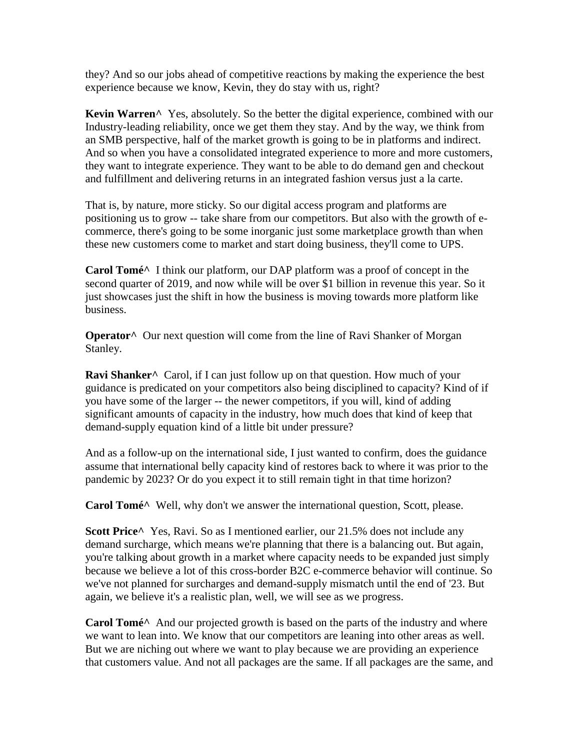they? And so our jobs ahead of competitive reactions by making the experience the best experience because we know, Kevin, they do stay with us, right?

**Kevin Warren^** Yes, absolutely. So the better the digital experience, combined with our Industry-leading reliability, once we get them they stay. And by the way, we think from an SMB perspective, half of the market growth is going to be in platforms and indirect. And so when you have a consolidated integrated experience to more and more customers, they want to integrate experience. They want to be able to do demand gen and checkout and fulfillment and delivering returns in an integrated fashion versus just a la carte.

That is, by nature, more sticky. So our digital access program and platforms are positioning us to grow -- take share from our competitors. But also with the growth of ecommerce, there's going to be some inorganic just some marketplace growth than when these new customers come to market and start doing business, they'll come to UPS.

**Carol Tomé^** I think our platform, our DAP platform was a proof of concept in the second quarter of 2019, and now while will be over \$1 billion in revenue this year. So it just showcases just the shift in how the business is moving towards more platform like business.

**Operator**<sup>^</sup> Our next question will come from the line of Ravi Shanker of Morgan Stanley.

**Ravi Shanker**<sup>^</sup> Carol, if I can just follow up on that question. How much of your guidance is predicated on your competitors also being disciplined to capacity? Kind of if you have some of the larger -- the newer competitors, if you will, kind of adding significant amounts of capacity in the industry, how much does that kind of keep that demand-supply equation kind of a little bit under pressure?

And as a follow-up on the international side, I just wanted to confirm, does the guidance assume that international belly capacity kind of restores back to where it was prior to the pandemic by 2023? Or do you expect it to still remain tight in that time horizon?

**Carol Tomé^** Well, why don't we answer the international question, Scott, please.

**Scott Price^** Yes, Ravi. So as I mentioned earlier, our 21.5% does not include any demand surcharge, which means we're planning that there is a balancing out. But again, you're talking about growth in a market where capacity needs to be expanded just simply because we believe a lot of this cross-border B2C e-commerce behavior will continue. So we've not planned for surcharges and demand-supply mismatch until the end of '23. But again, we believe it's a realistic plan, well, we will see as we progress.

**Carol Tomé^** And our projected growth is based on the parts of the industry and where we want to lean into. We know that our competitors are leaning into other areas as well. But we are niching out where we want to play because we are providing an experience that customers value. And not all packages are the same. If all packages are the same, and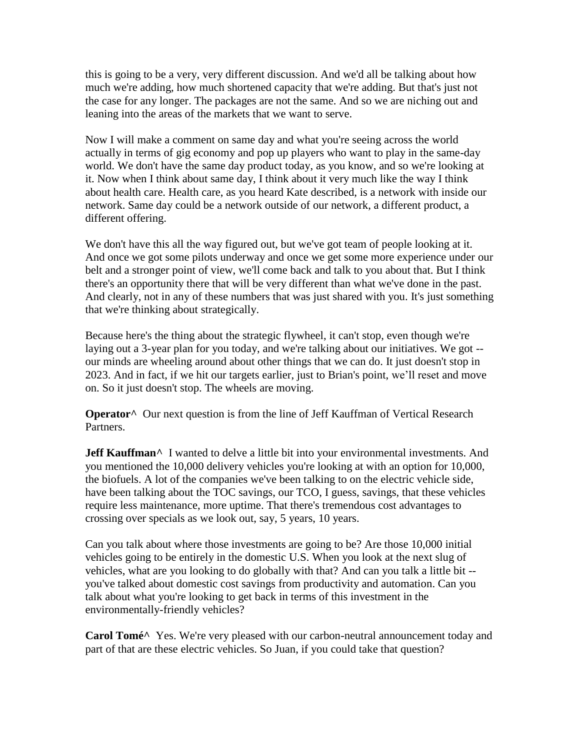this is going to be a very, very different discussion. And we'd all be talking about how much we're adding, how much shortened capacity that we're adding. But that's just not the case for any longer. The packages are not the same. And so we are niching out and leaning into the areas of the markets that we want to serve.

Now I will make a comment on same day and what you're seeing across the world actually in terms of gig economy and pop up players who want to play in the same-day world. We don't have the same day product today, as you know, and so we're looking at it. Now when I think about same day, I think about it very much like the way I think about health care. Health care, as you heard Kate described, is a network with inside our network. Same day could be a network outside of our network, a different product, a different offering.

We don't have this all the way figured out, but we've got team of people looking at it. And once we got some pilots underway and once we get some more experience under our belt and a stronger point of view, we'll come back and talk to you about that. But I think there's an opportunity there that will be very different than what we've done in the past. And clearly, not in any of these numbers that was just shared with you. It's just something that we're thinking about strategically.

Because here's the thing about the strategic flywheel, it can't stop, even though we're laying out a 3-year plan for you today, and we're talking about our initiatives. We got - our minds are wheeling around about other things that we can do. It just doesn't stop in 2023. And in fact, if we hit our targets earlier, just to Brian's point, we'll reset and move on. So it just doesn't stop. The wheels are moving.

**Operator^** Our next question is from the line of Jeff Kauffman of Vertical Research Partners.

**Jeff Kauffman**<sup>^</sup> I wanted to delve a little bit into your environmental investments. And you mentioned the 10,000 delivery vehicles you're looking at with an option for 10,000, the biofuels. A lot of the companies we've been talking to on the electric vehicle side, have been talking about the TOC savings, our TCO, I guess, savings, that these vehicles require less maintenance, more uptime. That there's tremendous cost advantages to crossing over specials as we look out, say, 5 years, 10 years.

Can you talk about where those investments are going to be? Are those 10,000 initial vehicles going to be entirely in the domestic U.S. When you look at the next slug of vehicles, what are you looking to do globally with that? And can you talk a little bit - you've talked about domestic cost savings from productivity and automation. Can you talk about what you're looking to get back in terms of this investment in the environmentally-friendly vehicles?

**Carol Tomé^** Yes. We're very pleased with our carbon-neutral announcement today and part of that are these electric vehicles. So Juan, if you could take that question?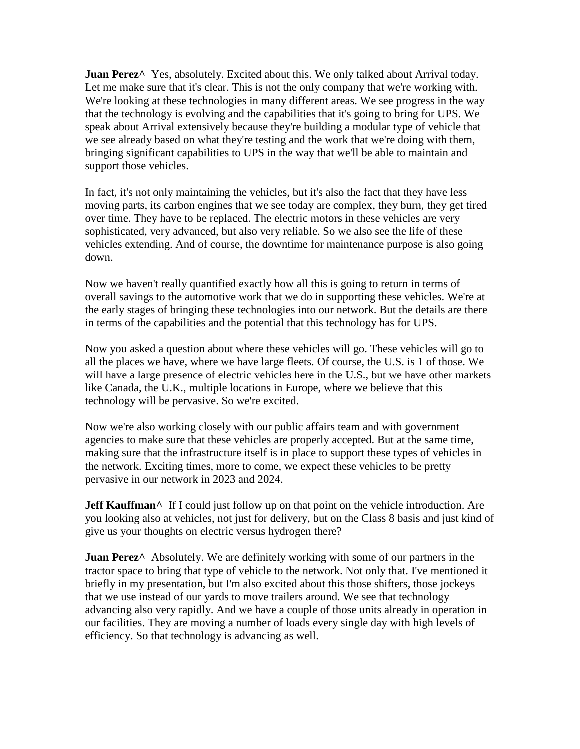**Juan Perez**<sup> $\wedge$ </sup> Yes, absolutely. Excited about this. We only talked about Arrival today. Let me make sure that it's clear. This is not the only company that we're working with. We're looking at these technologies in many different areas. We see progress in the way that the technology is evolving and the capabilities that it's going to bring for UPS. We speak about Arrival extensively because they're building a modular type of vehicle that we see already based on what they're testing and the work that we're doing with them, bringing significant capabilities to UPS in the way that we'll be able to maintain and support those vehicles.

In fact, it's not only maintaining the vehicles, but it's also the fact that they have less moving parts, its carbon engines that we see today are complex, they burn, they get tired over time. They have to be replaced. The electric motors in these vehicles are very sophisticated, very advanced, but also very reliable. So we also see the life of these vehicles extending. And of course, the downtime for maintenance purpose is also going down.

Now we haven't really quantified exactly how all this is going to return in terms of overall savings to the automotive work that we do in supporting these vehicles. We're at the early stages of bringing these technologies into our network. But the details are there in terms of the capabilities and the potential that this technology has for UPS.

Now you asked a question about where these vehicles will go. These vehicles will go to all the places we have, where we have large fleets. Of course, the U.S. is 1 of those. We will have a large presence of electric vehicles here in the U.S., but we have other markets like Canada, the U.K., multiple locations in Europe, where we believe that this technology will be pervasive. So we're excited.

Now we're also working closely with our public affairs team and with government agencies to make sure that these vehicles are properly accepted. But at the same time, making sure that the infrastructure itself is in place to support these types of vehicles in the network. Exciting times, more to come, we expect these vehicles to be pretty pervasive in our network in 2023 and 2024.

**Jeff Kauffman**<sup>^</sup> If I could just follow up on that point on the vehicle introduction. Are you looking also at vehicles, not just for delivery, but on the Class 8 basis and just kind of give us your thoughts on electric versus hydrogen there?

**Juan Perez**<sup>^</sup> Absolutely. We are definitely working with some of our partners in the tractor space to bring that type of vehicle to the network. Not only that. I've mentioned it briefly in my presentation, but I'm also excited about this those shifters, those jockeys that we use instead of our yards to move trailers around. We see that technology advancing also very rapidly. And we have a couple of those units already in operation in our facilities. They are moving a number of loads every single day with high levels of efficiency. So that technology is advancing as well.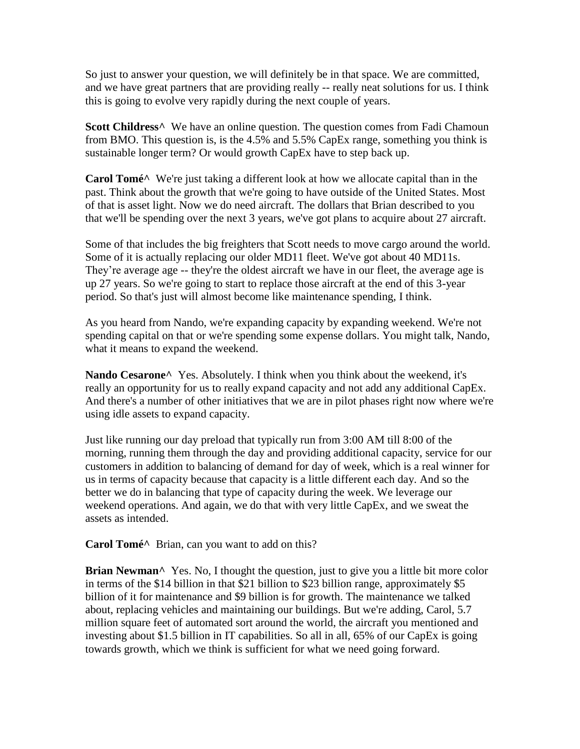So just to answer your question, we will definitely be in that space. We are committed, and we have great partners that are providing really -- really neat solutions for us. I think this is going to evolve very rapidly during the next couple of years.

**Scott Childress^** We have an online question. The question comes from Fadi Chamoun from BMO. This question is, is the 4.5% and 5.5% CapEx range, something you think is sustainable longer term? Or would growth CapEx have to step back up.

**Carol Tomé^** We're just taking a different look at how we allocate capital than in the past. Think about the growth that we're going to have outside of the United States. Most of that is asset light. Now we do need aircraft. The dollars that Brian described to you that we'll be spending over the next 3 years, we've got plans to acquire about 27 aircraft.

Some of that includes the big freighters that Scott needs to move cargo around the world. Some of it is actually replacing our older MD11 fleet. We've got about 40 MD11s. They're average age -- they're the oldest aircraft we have in our fleet, the average age is up 27 years. So we're going to start to replace those aircraft at the end of this 3-year period. So that's just will almost become like maintenance spending, I think.

As you heard from Nando, we're expanding capacity by expanding weekend. We're not spending capital on that or we're spending some expense dollars. You might talk, Nando, what it means to expand the weekend.

**Nando Cesarone^** Yes. Absolutely. I think when you think about the weekend, it's really an opportunity for us to really expand capacity and not add any additional CapEx. And there's a number of other initiatives that we are in pilot phases right now where we're using idle assets to expand capacity.

Just like running our day preload that typically run from 3:00 AM till 8:00 of the morning, running them through the day and providing additional capacity, service for our customers in addition to balancing of demand for day of week, which is a real winner for us in terms of capacity because that capacity is a little different each day. And so the better we do in balancing that type of capacity during the week. We leverage our weekend operations. And again, we do that with very little CapEx, and we sweat the assets as intended.

**Carol Tomé^** Brian, can you want to add on this?

**Brian Newman**<sup> $\wedge$ </sup> Yes. No, I thought the question, just to give you a little bit more color in terms of the \$14 billion in that \$21 billion to \$23 billion range, approximately \$5 billion of it for maintenance and \$9 billion is for growth. The maintenance we talked about, replacing vehicles and maintaining our buildings. But we're adding, Carol, 5.7 million square feet of automated sort around the world, the aircraft you mentioned and investing about \$1.5 billion in IT capabilities. So all in all, 65% of our CapEx is going towards growth, which we think is sufficient for what we need going forward.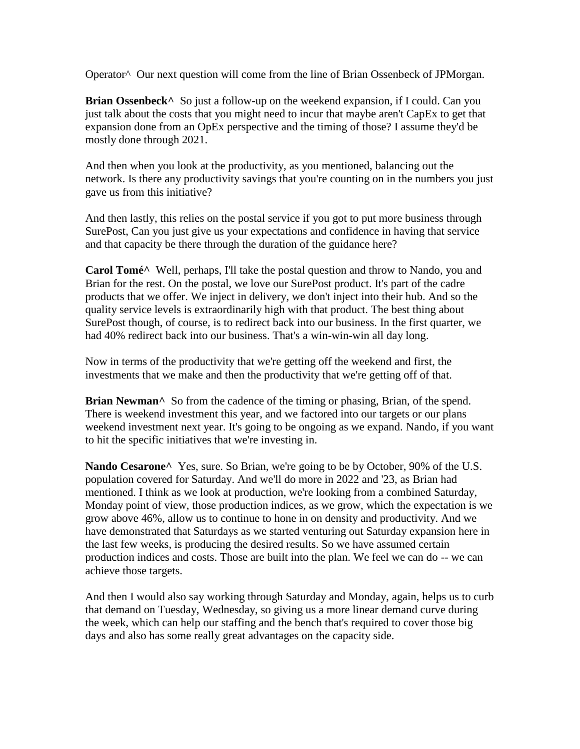Operator^ Our next question will come from the line of Brian Ossenbeck of JPMorgan.

**Brian Ossenbeck**<sup> $\wedge$ </sup> So just a follow-up on the weekend expansion, if I could. Can you just talk about the costs that you might need to incur that maybe aren't CapEx to get that expansion done from an OpEx perspective and the timing of those? I assume they'd be mostly done through 2021.

And then when you look at the productivity, as you mentioned, balancing out the network. Is there any productivity savings that you're counting on in the numbers you just gave us from this initiative?

And then lastly, this relies on the postal service if you got to put more business through SurePost, Can you just give us your expectations and confidence in having that service and that capacity be there through the duration of the guidance here?

**Carol Tomé^** Well, perhaps, I'll take the postal question and throw to Nando, you and Brian for the rest. On the postal, we love our SurePost product. It's part of the cadre products that we offer. We inject in delivery, we don't inject into their hub. And so the quality service levels is extraordinarily high with that product. The best thing about SurePost though, of course, is to redirect back into our business. In the first quarter, we had 40% redirect back into our business. That's a win-win-win all day long.

Now in terms of the productivity that we're getting off the weekend and first, the investments that we make and then the productivity that we're getting off of that.

Brian Newman<sup>^</sup> So from the cadence of the timing or phasing, Brian, of the spend. There is weekend investment this year, and we factored into our targets or our plans weekend investment next year. It's going to be ongoing as we expand. Nando, if you want to hit the specific initiatives that we're investing in.

Nando Cesarone<sup>^</sup> Yes, sure. So Brian, we're going to be by October, 90% of the U.S. population covered for Saturday. And we'll do more in 2022 and '23, as Brian had mentioned. I think as we look at production, we're looking from a combined Saturday, Monday point of view, those production indices, as we grow, which the expectation is we grow above 46%, allow us to continue to hone in on density and productivity. And we have demonstrated that Saturdays as we started venturing out Saturday expansion here in the last few weeks, is producing the desired results. So we have assumed certain production indices and costs. Those are built into the plan. We feel we can do -- we can achieve those targets.

And then I would also say working through Saturday and Monday, again, helps us to curb that demand on Tuesday, Wednesday, so giving us a more linear demand curve during the week, which can help our staffing and the bench that's required to cover those big days and also has some really great advantages on the capacity side.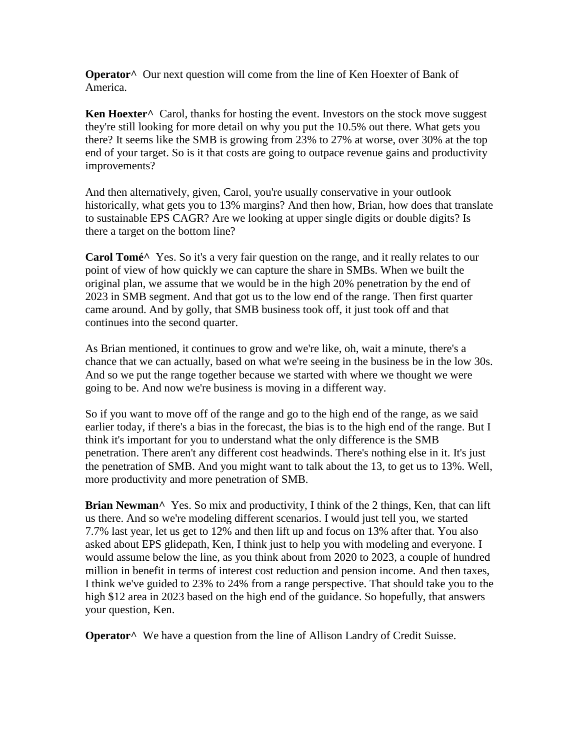**Operator^** Our next question will come from the line of Ken Hoexter of Bank of America.

**Ken Hoexter^** Carol, thanks for hosting the event. Investors on the stock move suggest they're still looking for more detail on why you put the 10.5% out there. What gets you there? It seems like the SMB is growing from 23% to 27% at worse, over 30% at the top end of your target. So is it that costs are going to outpace revenue gains and productivity improvements?

And then alternatively, given, Carol, you're usually conservative in your outlook historically, what gets you to 13% margins? And then how, Brian, how does that translate to sustainable EPS CAGR? Are we looking at upper single digits or double digits? Is there a target on the bottom line?

**Carol Tomé**<sup>^</sup> Yes. So it's a very fair question on the range, and it really relates to our point of view of how quickly we can capture the share in SMBs. When we built the original plan, we assume that we would be in the high 20% penetration by the end of 2023 in SMB segment. And that got us to the low end of the range. Then first quarter came around. And by golly, that SMB business took off, it just took off and that continues into the second quarter.

As Brian mentioned, it continues to grow and we're like, oh, wait a minute, there's a chance that we can actually, based on what we're seeing in the business be in the low 30s. And so we put the range together because we started with where we thought we were going to be. And now we're business is moving in a different way.

So if you want to move off of the range and go to the high end of the range, as we said earlier today, if there's a bias in the forecast, the bias is to the high end of the range. But I think it's important for you to understand what the only difference is the SMB penetration. There aren't any different cost headwinds. There's nothing else in it. It's just the penetration of SMB. And you might want to talk about the 13, to get us to 13%. Well, more productivity and more penetration of SMB.

**Brian Newman**<sup> $\wedge$ </sup> Yes. So mix and productivity, I think of the 2 things, Ken, that can lift us there. And so we're modeling different scenarios. I would just tell you, we started 7.7% last year, let us get to 12% and then lift up and focus on 13% after that. You also asked about EPS glidepath, Ken, I think just to help you with modeling and everyone. I would assume below the line, as you think about from 2020 to 2023, a couple of hundred million in benefit in terms of interest cost reduction and pension income. And then taxes, I think we've guided to 23% to 24% from a range perspective. That should take you to the high \$12 area in 2023 based on the high end of the guidance. So hopefully, that answers your question, Ken.

**Operator^** We have a question from the line of Allison Landry of Credit Suisse.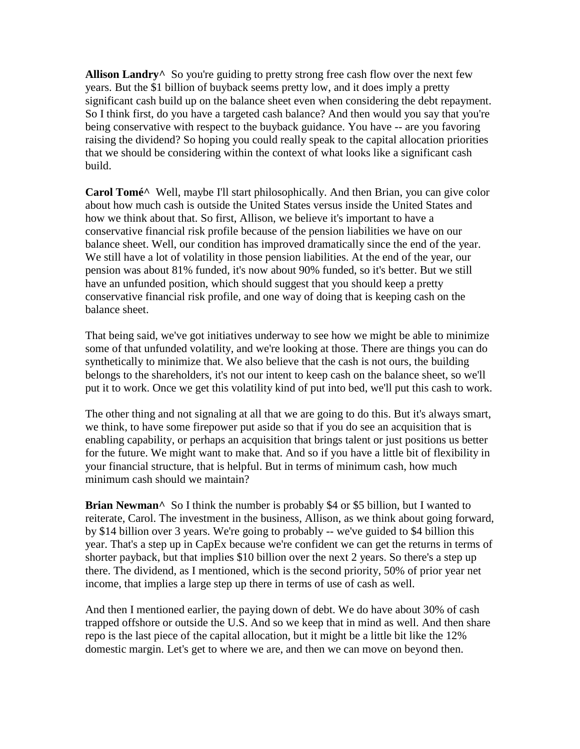Allison Landry<sup>^</sup> So you're guiding to pretty strong free cash flow over the next few years. But the \$1 billion of buyback seems pretty low, and it does imply a pretty significant cash build up on the balance sheet even when considering the debt repayment. So I think first, do you have a targeted cash balance? And then would you say that you're being conservative with respect to the buyback guidance. You have -- are you favoring raising the dividend? So hoping you could really speak to the capital allocation priorities that we should be considering within the context of what looks like a significant cash build.

**Carol Tomé^** Well, maybe I'll start philosophically. And then Brian, you can give color about how much cash is outside the United States versus inside the United States and how we think about that. So first, Allison, we believe it's important to have a conservative financial risk profile because of the pension liabilities we have on our balance sheet. Well, our condition has improved dramatically since the end of the year. We still have a lot of volatility in those pension liabilities. At the end of the year, our pension was about 81% funded, it's now about 90% funded, so it's better. But we still have an unfunded position, which should suggest that you should keep a pretty conservative financial risk profile, and one way of doing that is keeping cash on the balance sheet.

That being said, we've got initiatives underway to see how we might be able to minimize some of that unfunded volatility, and we're looking at those. There are things you can do synthetically to minimize that. We also believe that the cash is not ours, the building belongs to the shareholders, it's not our intent to keep cash on the balance sheet, so we'll put it to work. Once we get this volatility kind of put into bed, we'll put this cash to work.

The other thing and not signaling at all that we are going to do this. But it's always smart, we think, to have some firepower put aside so that if you do see an acquisition that is enabling capability, or perhaps an acquisition that brings talent or just positions us better for the future. We might want to make that. And so if you have a little bit of flexibility in your financial structure, that is helpful. But in terms of minimum cash, how much minimum cash should we maintain?

**Brian Newman**<sup>^</sup> So I think the number is probably \$4 or \$5 billion, but I wanted to reiterate, Carol. The investment in the business, Allison, as we think about going forward, by \$14 billion over 3 years. We're going to probably -- we've guided to \$4 billion this year. That's a step up in CapEx because we're confident we can get the returns in terms of shorter payback, but that implies \$10 billion over the next 2 years. So there's a step up there. The dividend, as I mentioned, which is the second priority, 50% of prior year net income, that implies a large step up there in terms of use of cash as well.

And then I mentioned earlier, the paying down of debt. We do have about 30% of cash trapped offshore or outside the U.S. And so we keep that in mind as well. And then share repo is the last piece of the capital allocation, but it might be a little bit like the 12% domestic margin. Let's get to where we are, and then we can move on beyond then.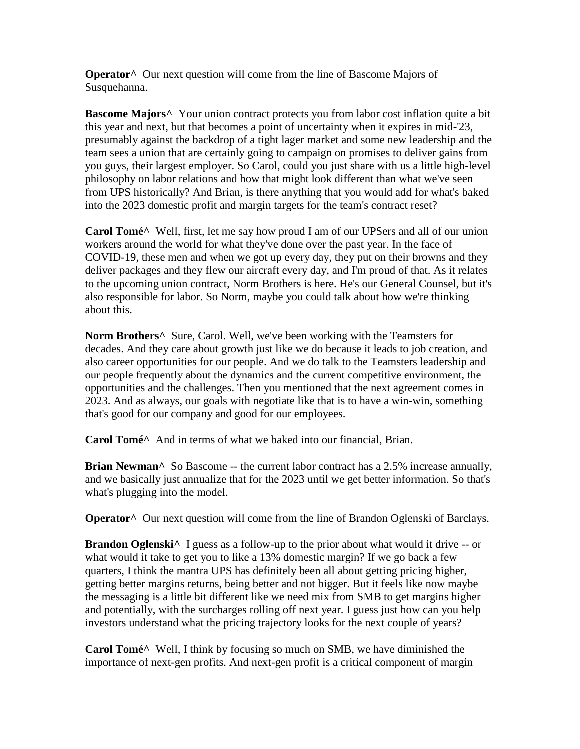**Operator**<sup>^</sup> Our next question will come from the line of Bascome Majors of Susquehanna.

**Bascome Majors^** Your union contract protects you from labor cost inflation quite a bit this year and next, but that becomes a point of uncertainty when it expires in mid-'23, presumably against the backdrop of a tight lager market and some new leadership and the team sees a union that are certainly going to campaign on promises to deliver gains from you guys, their largest employer. So Carol, could you just share with us a little high-level philosophy on labor relations and how that might look different than what we've seen from UPS historically? And Brian, is there anything that you would add for what's baked into the 2023 domestic profit and margin targets for the team's contract reset?

**Carol Tomé^** Well, first, let me say how proud I am of our UPSers and all of our union workers around the world for what they've done over the past year. In the face of COVID-19, these men and when we got up every day, they put on their browns and they deliver packages and they flew our aircraft every day, and I'm proud of that. As it relates to the upcoming union contract, Norm Brothers is here. He's our General Counsel, but it's also responsible for labor. So Norm, maybe you could talk about how we're thinking about this.

**Norm Brothers^** Sure, Carol. Well, we've been working with the Teamsters for decades. And they care about growth just like we do because it leads to job creation, and also career opportunities for our people. And we do talk to the Teamsters leadership and our people frequently about the dynamics and the current competitive environment, the opportunities and the challenges. Then you mentioned that the next agreement comes in 2023. And as always, our goals with negotiate like that is to have a win-win, something that's good for our company and good for our employees.

**Carol Tomé^** And in terms of what we baked into our financial, Brian.

**Brian Newman^** So Bascome -- the current labor contract has a 2.5% increase annually, and we basically just annualize that for the 2023 until we get better information. So that's what's plugging into the model.

**Operator**<sup>^</sup> Our next question will come from the line of Brandon Oglenski of Barclays.

**Brandon Oglenski**<sup>^</sup> I guess as a follow-up to the prior about what would it drive -- or what would it take to get you to like a 13% domestic margin? If we go back a few quarters, I think the mantra UPS has definitely been all about getting pricing higher, getting better margins returns, being better and not bigger. But it feels like now maybe the messaging is a little bit different like we need mix from SMB to get margins higher and potentially, with the surcharges rolling off next year. I guess just how can you help investors understand what the pricing trajectory looks for the next couple of years?

**Carol Tomé^** Well, I think by focusing so much on SMB, we have diminished the importance of next-gen profits. And next-gen profit is a critical component of margin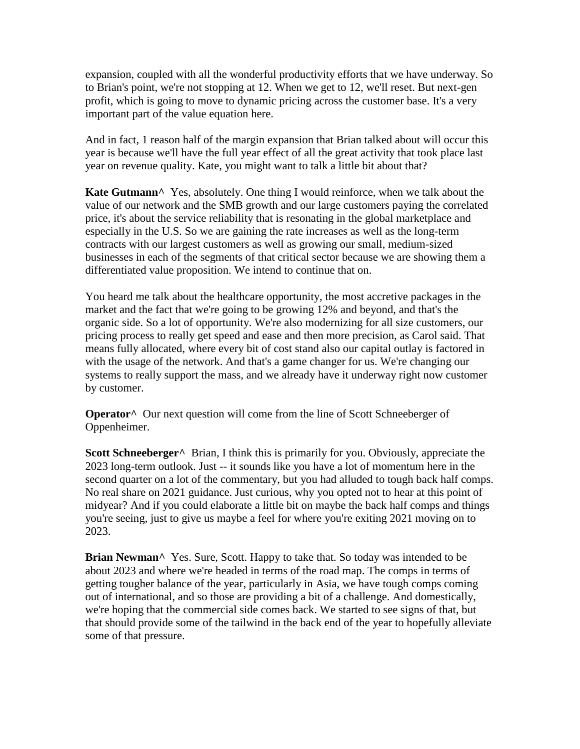expansion, coupled with all the wonderful productivity efforts that we have underway. So to Brian's point, we're not stopping at 12. When we get to 12, we'll reset. But next-gen profit, which is going to move to dynamic pricing across the customer base. It's a very important part of the value equation here.

And in fact, 1 reason half of the margin expansion that Brian talked about will occur this year is because we'll have the full year effect of all the great activity that took place last year on revenue quality. Kate, you might want to talk a little bit about that?

**Kate Gutmann^** Yes, absolutely. One thing I would reinforce, when we talk about the value of our network and the SMB growth and our large customers paying the correlated price, it's about the service reliability that is resonating in the global marketplace and especially in the U.S. So we are gaining the rate increases as well as the long-term contracts with our largest customers as well as growing our small, medium-sized businesses in each of the segments of that critical sector because we are showing them a differentiated value proposition. We intend to continue that on.

You heard me talk about the healthcare opportunity, the most accretive packages in the market and the fact that we're going to be growing 12% and beyond, and that's the organic side. So a lot of opportunity. We're also modernizing for all size customers, our pricing process to really get speed and ease and then more precision, as Carol said. That means fully allocated, where every bit of cost stand also our capital outlay is factored in with the usage of the network. And that's a game changer for us. We're changing our systems to really support the mass, and we already have it underway right now customer by customer.

**Operator**<sup>^</sup> Our next question will come from the line of Scott Schneeberger of Oppenheimer.

**Scott Schneeberger**<sup>^</sup> Brian, I think this is primarily for you. Obviously, appreciate the 2023 long-term outlook. Just -- it sounds like you have a lot of momentum here in the second quarter on a lot of the commentary, but you had alluded to tough back half comps. No real share on 2021 guidance. Just curious, why you opted not to hear at this point of midyear? And if you could elaborate a little bit on maybe the back half comps and things you're seeing, just to give us maybe a feel for where you're exiting 2021 moving on to 2023.

**Brian Newman**<sup>^</sup> Yes. Sure, Scott. Happy to take that. So today was intended to be about 2023 and where we're headed in terms of the road map. The comps in terms of getting tougher balance of the year, particularly in Asia, we have tough comps coming out of international, and so those are providing a bit of a challenge. And domestically, we're hoping that the commercial side comes back. We started to see signs of that, but that should provide some of the tailwind in the back end of the year to hopefully alleviate some of that pressure.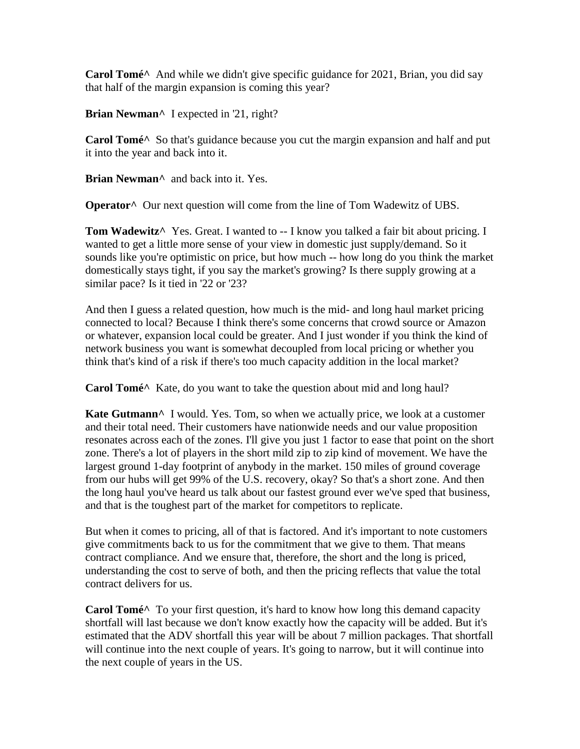**Carol Tomé^** And while we didn't give specific guidance for 2021, Brian, you did say that half of the margin expansion is coming this year?

**Brian Newman^** I expected in '21, right?

**Carol Tomé^** So that's guidance because you cut the margin expansion and half and put it into the year and back into it.

**Brian Newman^** and back into it. Yes.

**Operator^** Our next question will come from the line of Tom Wadewitz of UBS.

**Tom Wadewitz** Yes. Great. I wanted to -- I know you talked a fair bit about pricing. I wanted to get a little more sense of your view in domestic just supply/demand. So it sounds like you're optimistic on price, but how much -- how long do you think the market domestically stays tight, if you say the market's growing? Is there supply growing at a similar pace? Is it tied in '22 or '23?

And then I guess a related question, how much is the mid- and long haul market pricing connected to local? Because I think there's some concerns that crowd source or Amazon or whatever, expansion local could be greater. And I just wonder if you think the kind of network business you want is somewhat decoupled from local pricing or whether you think that's kind of a risk if there's too much capacity addition in the local market?

**Carol Tomé^** Kate, do you want to take the question about mid and long haul?

**Kate Gutmann**<sup> $\wedge$ </sup> I would. Yes. Tom, so when we actually price, we look at a customer and their total need. Their customers have nationwide needs and our value proposition resonates across each of the zones. I'll give you just 1 factor to ease that point on the short zone. There's a lot of players in the short mild zip to zip kind of movement. We have the largest ground 1-day footprint of anybody in the market. 150 miles of ground coverage from our hubs will get 99% of the U.S. recovery, okay? So that's a short zone. And then the long haul you've heard us talk about our fastest ground ever we've sped that business, and that is the toughest part of the market for competitors to replicate.

But when it comes to pricing, all of that is factored. And it's important to note customers give commitments back to us for the commitment that we give to them. That means contract compliance. And we ensure that, therefore, the short and the long is priced, understanding the cost to serve of both, and then the pricing reflects that value the total contract delivers for us.

**Carol Tomé^** To your first question, it's hard to know how long this demand capacity shortfall will last because we don't know exactly how the capacity will be added. But it's estimated that the ADV shortfall this year will be about 7 million packages. That shortfall will continue into the next couple of years. It's going to narrow, but it will continue into the next couple of years in the US.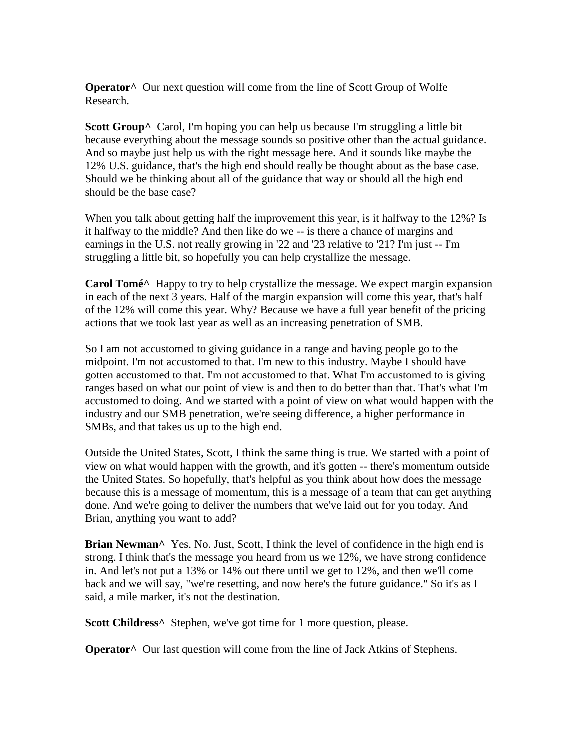**Operator**<sup>^</sup> Our next question will come from the line of Scott Group of Wolfe Research.

**Scott Group^** Carol, I'm hoping you can help us because I'm struggling a little bit because everything about the message sounds so positive other than the actual guidance. And so maybe just help us with the right message here. And it sounds like maybe the 12% U.S. guidance, that's the high end should really be thought about as the base case. Should we be thinking about all of the guidance that way or should all the high end should be the base case?

When you talk about getting half the improvement this year, is it halfway to the 12%? Is it halfway to the middle? And then like do we -- is there a chance of margins and earnings in the U.S. not really growing in '22 and '23 relative to '21? I'm just -- I'm struggling a little bit, so hopefully you can help crystallize the message.

**Carol Tomé^** Happy to try to help crystallize the message. We expect margin expansion in each of the next 3 years. Half of the margin expansion will come this year, that's half of the 12% will come this year. Why? Because we have a full year benefit of the pricing actions that we took last year as well as an increasing penetration of SMB.

So I am not accustomed to giving guidance in a range and having people go to the midpoint. I'm not accustomed to that. I'm new to this industry. Maybe I should have gotten accustomed to that. I'm not accustomed to that. What I'm accustomed to is giving ranges based on what our point of view is and then to do better than that. That's what I'm accustomed to doing. And we started with a point of view on what would happen with the industry and our SMB penetration, we're seeing difference, a higher performance in SMBs, and that takes us up to the high end.

Outside the United States, Scott, I think the same thing is true. We started with a point of view on what would happen with the growth, and it's gotten -- there's momentum outside the United States. So hopefully, that's helpful as you think about how does the message because this is a message of momentum, this is a message of a team that can get anything done. And we're going to deliver the numbers that we've laid out for you today. And Brian, anything you want to add?

Brian Newman<sup>^</sup> Yes. No. Just, Scott, I think the level of confidence in the high end is strong. I think that's the message you heard from us we 12%, we have strong confidence in. And let's not put a 13% or 14% out there until we get to 12%, and then we'll come back and we will say, "we're resetting, and now here's the future guidance." So it's as I said, a mile marker, it's not the destination.

**Scott Childress^** Stephen, we've got time for 1 more question, please.

**Operator**<sup>^</sup> Our last question will come from the line of Jack Atkins of Stephens.